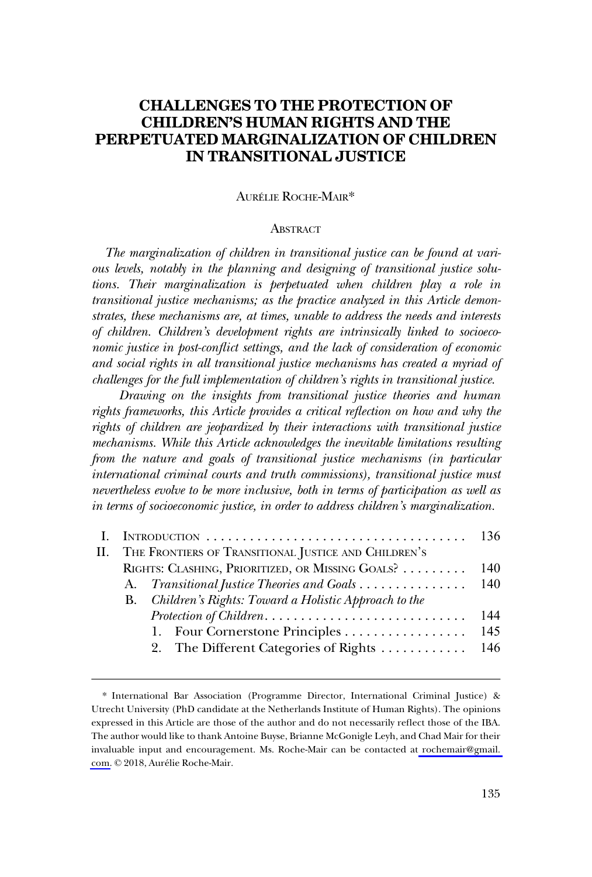# **CHALLENGES TO THE PROTECTION OF CHILDREN'S HUMAN RIGHTS AND THE PERPETUATED MARGINALIZATION OF CHILDREN IN TRANSITIONAL JUSTICE**

### AURÉLIE ROCHE-MAIR\*

#### **ABSTRACT**

*The marginalization of children in transitional justice can be found at various levels, notably in the planning and designing of transitional justice solutions. Their marginalization is perpetuated when children play a role in transitional justice mechanisms; as the practice analyzed in this Article demonstrates, these mechanisms are, at times, unable to address the needs and interests of children. Children's development rights are intrinsically linked to socioeconomic justice in post-conflict settings, and the lack of consideration of economic and social rights in all transitional justice mechanisms has created a myriad of challenges for the full implementation of children's rights in transitional justice.* 

*Drawing on the insights from transitional justice theories and human rights frameworks, this Article provides a critical reflection on how and why the rights of children are jeopardized by their interactions with transitional justice mechanisms. While this Article acknowledges the inevitable limitations resulting from the nature and goals of transitional justice mechanisms (in particular international criminal courts and truth commissions), transitional justice must nevertheless evolve to be more inclusive, both in terms of participation as well as in terms of socioeconomic justice, in order to address children's marginalization.* 

|                                                          | RIGHTS: CLASHING, PRIORITIZED, OR MISSING GOALS? 140<br><b>B.</b> Children's Rights: Toward a Holistic Approach to the |  |  |
|----------------------------------------------------------|------------------------------------------------------------------------------------------------------------------------|--|--|
| II. THE FRONTIERS OF TRANSITIONAL JUSTICE AND CHILDREN'S |                                                                                                                        |  |  |
|                                                          |                                                                                                                        |  |  |
|                                                          |                                                                                                                        |  |  |
|                                                          |                                                                                                                        |  |  |
|                                                          |                                                                                                                        |  |  |
|                                                          | 1. Four Cornerstone Principles 145                                                                                     |  |  |
|                                                          | 2. The Different Categories of Rights 146                                                                              |  |  |
|                                                          |                                                                                                                        |  |  |

<sup>\*</sup> International Bar Association (Programme Director, International Criminal Justice) & Utrecht University (PhD candidate at the Netherlands Institute of Human Rights). The opinions expressed in this Article are those of the author and do not necessarily reflect those of the IBA. The author would like to thank Antoine Buyse, Brianne McGonigle Leyh, and Chad Mair for their invaluable input and encouragement. Ms. Roche-Mair can be contacted at [rochemair@gmail.](mailto:rochemair@gmail. com)  [com.](mailto:rochemair@gmail. com) © 2018, Aurélie Roche-Mair.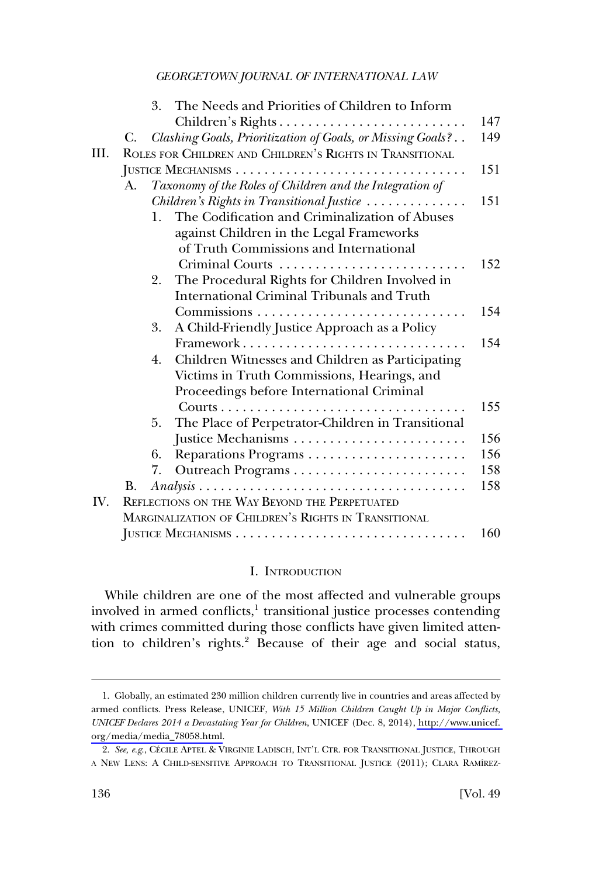<span id="page-1-0"></span>

|     |                                                          | The Needs and Priorities of Children to Inform<br>3.                                                  |     |  |  |
|-----|----------------------------------------------------------|-------------------------------------------------------------------------------------------------------|-----|--|--|
|     |                                                          | Children's Rights                                                                                     | 147 |  |  |
|     | C.                                                       | Clashing Goals, Prioritization of Goals, or Missing Goals?                                            | 149 |  |  |
| Ш.  | ROLES FOR CHILDREN AND CHILDREN'S RIGHTS IN TRANSITIONAL |                                                                                                       |     |  |  |
|     |                                                          |                                                                                                       | 151 |  |  |
|     | A.                                                       | Taxonomy of the Roles of Children and the Integration of                                              |     |  |  |
|     |                                                          | Children's Rights in Transitional Justice                                                             | 151 |  |  |
|     |                                                          | The Codification and Criminalization of Abuses<br>1.                                                  |     |  |  |
|     |                                                          | against Children in the Legal Frameworks                                                              |     |  |  |
|     |                                                          | of Truth Commissions and International                                                                |     |  |  |
|     |                                                          | Criminal Courts                                                                                       | 152 |  |  |
|     |                                                          | The Procedural Rights for Children Involved in<br>2.                                                  |     |  |  |
|     |                                                          | International Criminal Tribunals and Truth                                                            |     |  |  |
|     |                                                          |                                                                                                       | 154 |  |  |
|     |                                                          | A Child-Friendly Justice Approach as a Policy<br>3.                                                   |     |  |  |
|     |                                                          | Framework                                                                                             | 154 |  |  |
|     |                                                          | Children Witnesses and Children as Participating<br>4.                                                |     |  |  |
|     |                                                          | Victims in Truth Commissions, Hearings, and                                                           |     |  |  |
|     |                                                          | Proceedings before International Criminal                                                             |     |  |  |
|     |                                                          |                                                                                                       | 155 |  |  |
|     |                                                          | The Place of Perpetrator-Children in Transitional<br>5.                                               |     |  |  |
|     |                                                          |                                                                                                       | 156 |  |  |
|     |                                                          | 6.                                                                                                    | 156 |  |  |
|     |                                                          | 7.                                                                                                    | 158 |  |  |
|     | В.                                                       | $Analysis \ldots \ldots \ldots \ldots \ldots \ldots \ldots \ldots \ldots \ldots \ldots \ldots \ldots$ | 158 |  |  |
| IV. |                                                          | REFLECTIONS ON THE WAY BEYOND THE PERPETUATED                                                         |     |  |  |
|     |                                                          | MARGINALIZATION OF CHILDREN'S RIGHTS IN TRANSITIONAL                                                  |     |  |  |
|     |                                                          |                                                                                                       | 160 |  |  |

### I. INTRODUCTION

While children are one of the most affected and vulnerable groups involved in armed conflicts, $<sup>1</sup>$  transitional justice processes contending</sup> with crimes committed during those conflicts have given limited attention to children's rights.<sup>2</sup> Because of their age and social status,

<sup>1.</sup> Globally, an estimated 230 million children currently live in countries and areas affected by armed conflicts. Press Release, UNICEF, *With 15 Million Children Caught Up in Major Conflicts, UNICEF Declares 2014 a Devastating Year for Children*, UNICEF (Dec. 8, 2014), [http://www.unicef.](http://www.unicef.org/media/media_78058.html)  [org/media/media\\_78058.html.](http://www.unicef.org/media/media_78058.html)

<sup>2.</sup> See, e.g., CÉCILE APTEL & VIRGINIE LADISCH, INT'L CTR. FOR TRANSITIONAL JUSTICE, THROUGH A NEW LENS: A CHILD-SENSITIVE APPROACH TO TRANSITIONAL JUSTICE (2011); CLARA RAMÍREZ-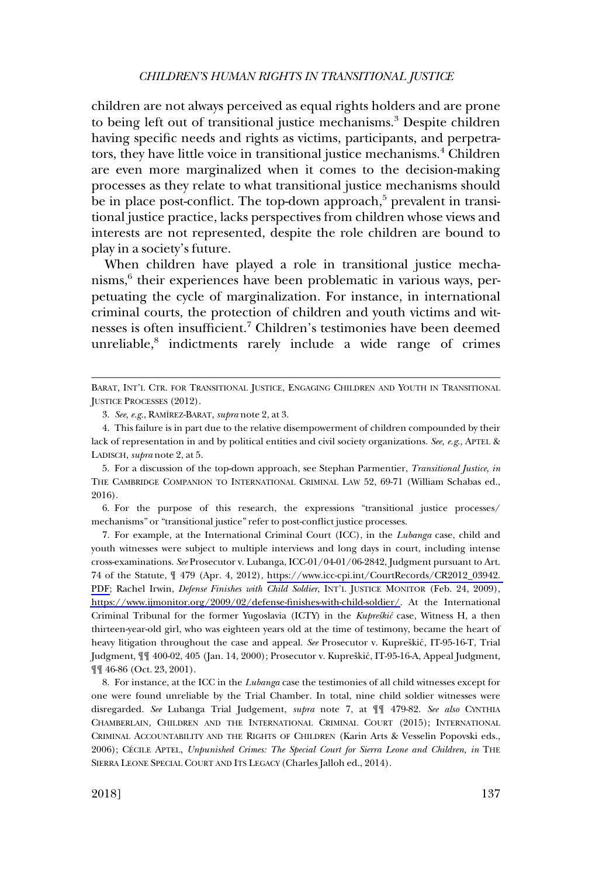children are not always perceived as equal rights holders and are prone to being left out of transitional justice mechanisms.<sup>3</sup> Despite children having specific needs and rights as victims, participants, and perpetrators, they have little voice in transitional justice mechanisms.<sup>4</sup> Children are even more marginalized when it comes to the decision-making processes as they relate to what transitional justice mechanisms should be in place post-conflict. The top-down approach, $5$  prevalent in transitional justice practice, lacks perspectives from children whose views and interests are not represented, despite the role children are bound to play in a society's future.

When children have played a role in transitional justice mechanisms,<sup>6</sup> their experiences have been problematic in various ways, perpetuating the cycle of marginalization. For instance, in international criminal courts, the protection of children and youth victims and witnesses is often insufficient.<sup>7</sup> Children's testimonies have been deemed unreliable, $8$  indictments rarely include a wide range of crimes

6. For the purpose of this research, the expressions "transitional justice processes/ mechanisms" or "transitional justice" refer to post-conflict justice processes.

For example, at the International Criminal Court (ICC), in the *Lubanga* case, child and 7. youth witnesses were subject to multiple interviews and long days in court, including intense cross-examinations. *See* Prosecutor v. Lubanga, ICC-01/04-01/06-2842, Judgment pursuant to Art. 74 of the Statute, ¶ 479 (Apr. 4, 2012), [https://www.icc-cpi.int/CourtRecords/CR2012\\_03942.](https://www.icc-cpi.int/CourtRecords/CR2012_03942.PDF)  [PDF;](https://www.icc-cpi.int/CourtRecords/CR2012_03942.PDF) Rachel Irwin, *Defense Finishes with Child Soldier*, INT'L JUSTICE MONITOR (Feb. 24, 2009), [https://www.ijmonitor.org/2009/02/defense-finishes-with-child-soldier/.](https://www.ijmonitor.org/2009/02/defense-finishes-with-child-soldier/) At the International Criminal Tribunal for the former Yugoslavia (ICTY) in the *Kupreškić* case, Witness H, a then thirteen-year-old girl, who was eighteen years old at the time of testimony, became the heart of heavy litigation throughout the case and appeal. *See* Prosecutor v. Kupreškić, IT-95-16-T, Trial Judgment, ¶¶ 400-02, 405 (Jan. 14, 2000); Prosecutor v. Kupreškić, IT-95-16-A, Appeal Judgment, ¶¶ 46-86 (Oct. 23, 2001).

8. For instance, at the ICC in the *Lubanga* case the testimonies of all child witnesses except for one were found unreliable by the Trial Chamber. In total, nine child soldier witnesses were disregarded. *See* Lubanga Trial Judgement, *supra* note 7, at ¶¶ 479-82. *See also* CYNTHIA CHAMBERLAIN, CHILDREN AND THE INTERNATIONAL CRIMINAL COURT (2015); INTERNATIONAL CRIMINAL ACCOUNTABILITY AND THE RIGHTS OF CHILDREN (Karin Arts & Vesselin Popovski eds., 2006); CÉCILE APTEL, *Unpunished Crimes: The Special Court for Sierra Leone and Children, in* THE SIERRA LEONE SPECIAL COURT AND ITS LEGACY (Charles Jalloh ed., 2014).

BARAT, INT'L CTR. FOR TRANSITIONAL JUSTICE, ENGAGING CHILDREN AND YOUTH IN TRANSITIONAL JUSTICE PROCESSES (2012).

<sup>3.</sup> *See, e.g*., RAMI´REZ-BARAT, *supra* note 2, at 3.

<sup>4.</sup> This failure is in part due to the relative disempowerment of children compounded by their lack of representation in and by political entities and civil society organizations. *See, e.g*., APTEL & LADISCH, *supra* note 2, at 5.

<sup>5.</sup> For a discussion of the top-down approach, see Stephan Parmentier, *Transitional Justice, in*  THE CAMBRIDGE COMPANION TO INTERNATIONAL CRIMINAL LAW 52, 69-71 (William Schabas ed., 2016).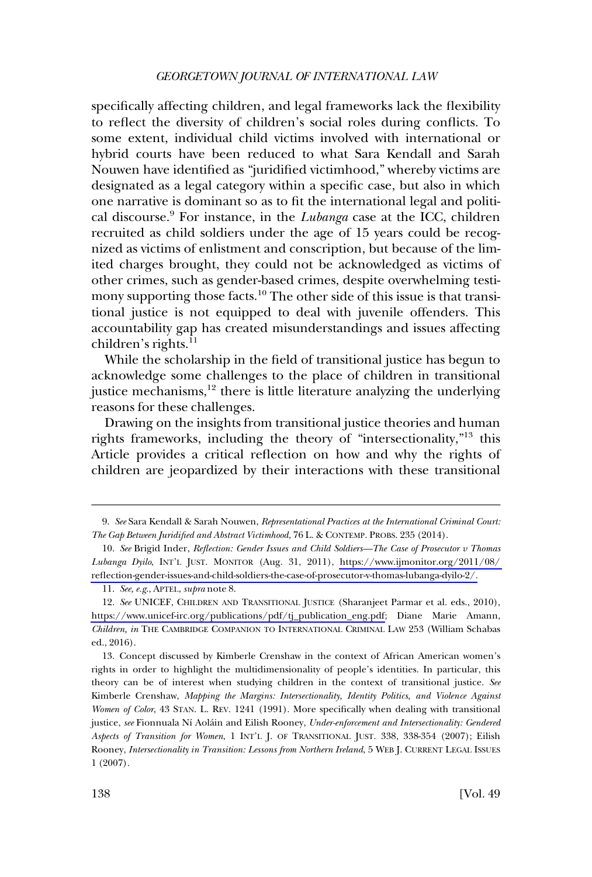specifically affecting children, and legal frameworks lack the flexibility to reflect the diversity of children's social roles during conflicts. To some extent, individual child victims involved with international or hybrid courts have been reduced to what Sara Kendall and Sarah Nouwen have identified as "juridified victimhood," whereby victims are designated as a legal category within a specific case, but also in which one narrative is dominant so as to fit the international legal and political discourse.9 For instance, in the *Lubanga* case at the ICC, children recruited as child soldiers under the age of 15 years could be recognized as victims of enlistment and conscription, but because of the limited charges brought, they could not be acknowledged as victims of other crimes, such as gender-based crimes, despite overwhelming testimony supporting those facts.<sup>10</sup> The other side of this issue is that transitional justice is not equipped to deal with juvenile offenders. This accountability gap has created misunderstandings and issues affecting children's rights. $^{11}$ 

While the scholarship in the field of transitional justice has begun to acknowledge some challenges to the place of children in transitional justice mechanisms,<sup>12</sup> there is little literature analyzing the underlying reasons for these challenges.

Drawing on the insights from transitional justice theories and human rights frameworks, including the theory of "intersectionality,"13 this Article provides a critical reflection on how and why the rights of children are jeopardized by their interactions with these transitional

<sup>9.</sup> *See* Sara Kendall & Sarah Nouwen, *Representational Practices at the International Criminal Court: The Gap Between Juridified and Abstract Victimhood*, 76 L. & CONTEMP. PROBS. 235 (2014).

*See* Brigid Inder, *Reflection: Gender Issues and Child Soldiers—The Case of Prosecutor v Thomas*  10. *Lubanga Dyilo*, INT'L JUST. MONITOR (Aug. 31, 2011), [https://www.ijmonitor.org/2011/08/](https://www.ijmonitor.org/2011/08/reflection-gender-issues-and-child-soldiers-the-case-of-prosecutor-v-thomas-lubanga-dyilo-2/)  [reflection-gender-issues-and-child-soldiers-the-case-of-prosecutor-v-thomas-lubanga-dyilo-2/.](https://www.ijmonitor.org/2011/08/reflection-gender-issues-and-child-soldiers-the-case-of-prosecutor-v-thomas-lubanga-dyilo-2/)

<sup>11.</sup> *See, e.g*., APTEL, *supra* note 8.

<sup>12.</sup> See UNICEF, CHILDREN AND TRANSITIONAL JUSTICE (Sharanjeet Parmar et al. eds., 2010), [https://www.unicef-irc.org/publications/pdf/tj\\_publication\\_eng.pdf;](https://www.unicef-irc.org/publications/pdf/tj_publication_eng.pdf) Diane Marie Amann, *Children, in* THE CAMBRIDGE COMPANION TO INTERNATIONAL CRIMINAL LAW 253 (William Schabas ed., 2016).

<sup>13.</sup> Concept discussed by Kimberle Crenshaw in the context of African American women's rights in order to highlight the multidimensionality of people's identities. In particular, this theory can be of interest when studying children in the context of transitional justice. *See*  Kimberle Crenshaw, *Mapping the Margins: Intersectionality, Identity Politics, and Violence Against Women of Color*, 43 STAN. L. REV. 1241 (1991). More specifically when dealing with transitional justice, *see* Fionnuala Nı´ Aola´in and Eilish Rooney, *Under-enforcement and Intersectionality: Gendered Aspects of Transition for Women*, 1 INT'L J. OF TRANSITIONAL JUST. 338, 338-354 (2007); Eilish Rooney, *Intersectionality in Transition: Lessons from Northern Ireland*, 5 WEB J. CURRENT LEGAL ISSUES 1 (2007).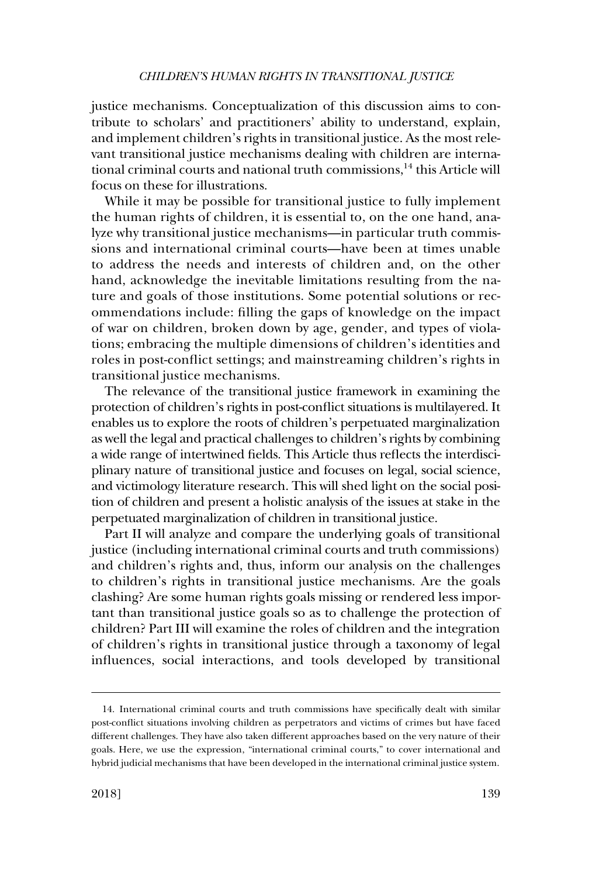justice mechanisms. Conceptualization of this discussion aims to contribute to scholars' and practitioners' ability to understand, explain, and implement children's rights in transitional justice. As the most relevant transitional justice mechanisms dealing with children are international criminal courts and national truth commissions, $14$  this Article will focus on these for illustrations.

While it may be possible for transitional justice to fully implement the human rights of children, it is essential to, on the one hand, analyze why transitional justice mechanisms—in particular truth commissions and international criminal courts—have been at times unable to address the needs and interests of children and, on the other hand, acknowledge the inevitable limitations resulting from the nature and goals of those institutions. Some potential solutions or recommendations include: filling the gaps of knowledge on the impact of war on children, broken down by age, gender, and types of violations; embracing the multiple dimensions of children's identities and roles in post-conflict settings; and mainstreaming children's rights in transitional justice mechanisms.

The relevance of the transitional justice framework in examining the protection of children's rights in post-conflict situations is multilayered. It enables us to explore the roots of children's perpetuated marginalization as well the legal and practical challenges to children's rights by combining a wide range of intertwined fields. This Article thus reflects the interdisciplinary nature of transitional justice and focuses on legal, social science, and victimology literature research. This will shed light on the social position of children and present a holistic analysis of the issues at stake in the perpetuated marginalization of children in transitional justice.

Part II will analyze and compare the underlying goals of transitional justice (including international criminal courts and truth commissions) and children's rights and, thus, inform our analysis on the challenges to children's rights in transitional justice mechanisms. Are the goals clashing? Are some human rights goals missing or rendered less important than transitional justice goals so as to challenge the protection of children? Part III will examine the roles of children and the integration of children's rights in transitional justice through a taxonomy of legal influences, social interactions, and tools developed by transitional

<sup>14.</sup> International criminal courts and truth commissions have specifically dealt with similar post-conflict situations involving children as perpetrators and victims of crimes but have faced different challenges. They have also taken different approaches based on the very nature of their goals. Here, we use the expression, "international criminal courts," to cover international and hybrid judicial mechanisms that have been developed in the international criminal justice system.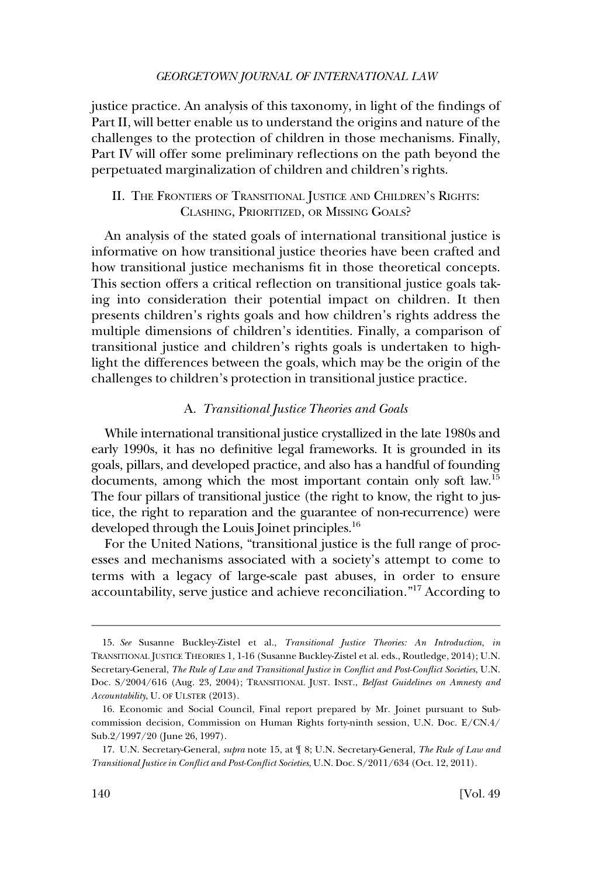<span id="page-5-0"></span>justice practice. An analysis of this taxonomy, in light of the findings of Part II, will better enable us to understand the origins and nature of the challenges to the protection of children in those mechanisms. Finally, Part IV will offer some preliminary reflections on the path beyond the perpetuated marginalization of children and children's rights.

### II. THE FRONTIERS OF TRANSITIONAL JUSTICE AND CHILDREN'S RIGHTS: CLASHING, PRIORITIZED, OR MISSING GOALS?

An analysis of the stated goals of international transitional justice is informative on how transitional justice theories have been crafted and how transitional justice mechanisms fit in those theoretical concepts. This section offers a critical reflection on transitional justice goals taking into consideration their potential impact on children. It then presents children's rights goals and how children's rights address the multiple dimensions of children's identities. Finally, a comparison of transitional justice and children's rights goals is undertaken to highlight the differences between the goals, which may be the origin of the challenges to children's protection in transitional justice practice.

#### A. *Transitional Justice Theories and Goals*

While international transitional justice crystallized in the late 1980s and early 1990s, it has no definitive legal frameworks. It is grounded in its goals, pillars, and developed practice, and also has a handful of founding documents, among which the most important contain only soft law.15 The four pillars of transitional justice (the right to know, the right to justice, the right to reparation and the guarantee of non-recurrence) were developed through the Louis Joinet principles.<sup>16</sup>

For the United Nations, "transitional justice is the full range of processes and mechanisms associated with a society's attempt to come to terms with a legacy of large-scale past abuses, in order to ensure accountability, serve justice and achieve reconciliation."17 According to

<sup>15.</sup> *See* Susanne Buckley-Zistel et al., *Transitional Justice Theories: An Introduction*, *in*  TRANSITIONAL JUSTICE THEORIES 1, 1-16 (Susanne Buckley-Zistel et al. eds., Routledge, 2014); U.N. Secretary-General, *The Rule of Law and Transitional Justice in Conflict and Post-Conflict Societies*, U.N. Doc. S/2004/616 (Aug. 23, 2004); TRANSITIONAL JUST. INST., *Belfast Guidelines on Amnesty and Accountability*, U. OF ULSTER (2013).

<sup>16.</sup> Economic and Social Council, Final report prepared by Mr. Joinet pursuant to Subcommission decision, Commission on Human Rights forty-ninth session, U.N. Doc. E/CN.4/ Sub.2/1997/20 (June 26, 1997).

<sup>17.</sup> U.N. Secretary-General, *supra* note 15, at ¶ 8; U.N. Secretary-General, *The Rule of Law and Transitional Justice in Conflict and Post-Conflict Societies*, U.N. Doc. S/2011/634 (Oct. 12, 2011).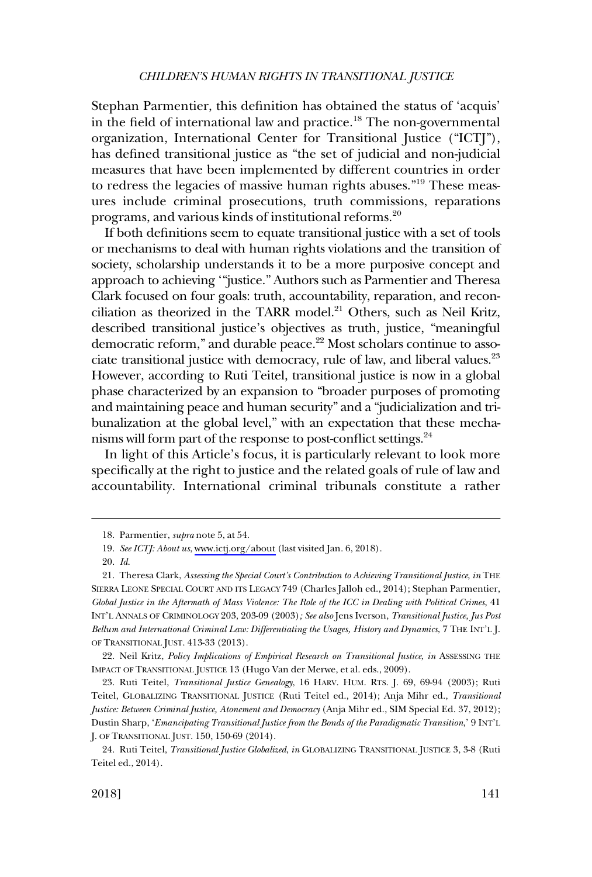Stephan Parmentier, this definition has obtained the status of 'acquis' in the field of international law and practice.18 The non-governmental organization, International Center for Transitional Justice ("ICTJ"), has defined transitional justice as "the set of judicial and non-judicial measures that have been implemented by different countries in order to redress the legacies of massive human rights abuses."<sup>19</sup> These measures include criminal prosecutions, truth commissions, reparations programs, and various kinds of institutional reforms.<sup>20</sup>

If both definitions seem to equate transitional justice with a set of tools or mechanisms to deal with human rights violations and the transition of society, scholarship understands it to be a more purposive concept and approach to achieving '"justice." Authors such as Parmentier and Theresa Clark focused on four goals: truth, accountability, reparation, and reconciliation as theorized in the TARR model.<sup>21</sup> Others, such as Neil Kritz, described transitional justice's objectives as truth, justice, "meaningful democratic reform," and durable peace.<sup>22</sup> Most scholars continue to associate transitional justice with democracy, rule of law, and liberal values.<sup>23</sup> However, according to Ruti Teitel, transitional justice is now in a global phase characterized by an expansion to "broader purposes of promoting and maintaining peace and human security" and a "judicialization and tribunalization at the global level," with an expectation that these mechanisms will form part of the response to post-conflict settings.<sup>24</sup>

In light of this Article's focus, it is particularly relevant to look more specifically at the right to justice and the related goals of rule of law and accountability. International criminal tribunals constitute a rather

22. Neil Kritz, *Policy Implications of Empirical Research on Transitional Justice*, *in* ASSESSING THE IMPACT OF TRANSITIONAL JUSTICE 13 (Hugo Van der Merwe, et al. eds., 2009).

23. Ruti Teitel, *Transitional Justice Genealogy*, 16 HARV. HUM. RTS. J. 69, 69-94 (2003); Ruti Teitel, GLOBALIZING TRANSITIONAL JUSTICE (Ruti Teitel ed., 2014); Anja Mihr ed., *Transitional Justice: Between Criminal Justice, Atonement and Democracy* (Anja Mihr ed., SIM Special Ed. 37, 2012); Dustin Sharp, '*Emancipating Transitional Justice from the Bonds of the Paradigmatic Transition*,' 9 INT'L J. OF TRANSITIONAL JUST. 150, 150-69 (2014).

<sup>18.</sup> Parmentier, *supra* note 5, at 54.

*See ICTJ: About us*, [www.ictj.org/about](https://www.ictj.org/about) (last visited Jan. 6, 2018). 19.

<sup>20.</sup> *Id*.

<sup>21.</sup> Theresa Clark, *Assessing the Special Court's Contribution to Achieving Transitional Justice*, *in* THE SIERRA LEONE SPECIAL COURT AND ITS LEGACY 749 (Charles Jalloh ed., 2014); Stephan Parmentier, *Global Justice in the Aftermath of Mass Violence: The Role of the ICC in Dealing with Political Crimes*, 41 INT'L ANNALS OF CRIMINOLOGY 203, 203-09 (2003)*; See also* Jens Iverson, *Transitional Justice, Jus Post Bellum and International Criminal Law: Differentiating the Usages, History and Dynamics*, 7 THE INT'L J. OF TRANSITIONAL JUST. 413-33 (2013).

<sup>24.</sup> Ruti Teitel, *Transitional Justice Globalized*, *in* GLOBALIZING TRANSITIONAL JUSTICE 3, 3-8 (Ruti Teitel ed., 2014).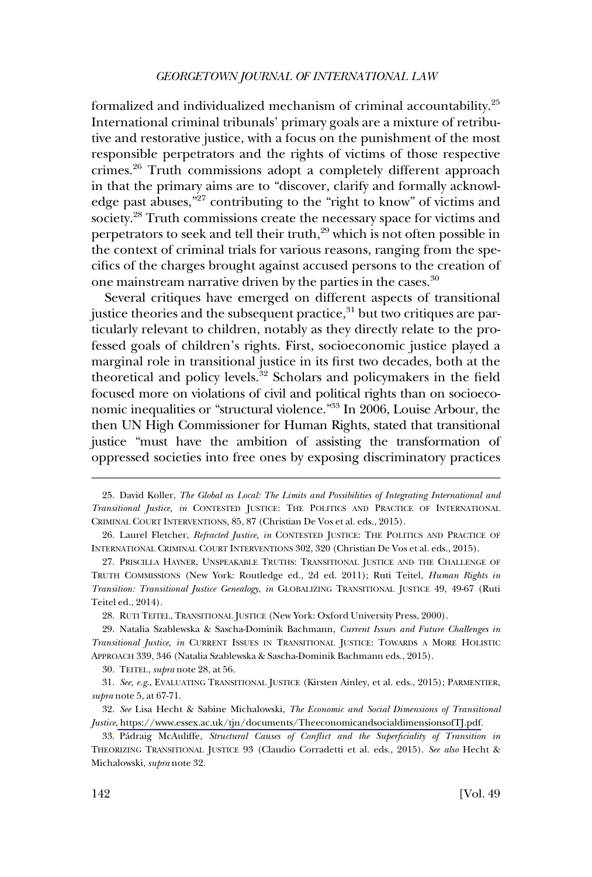formalized and individualized mechanism of criminal accountability.25 International criminal tribunals' primary goals are a mixture of retributive and restorative justice, with a focus on the punishment of the most responsible perpetrators and the rights of victims of those respective crimes.26 Truth commissions adopt a completely different approach in that the primary aims are to "discover, clarify and formally acknowledge past abuses,"27 contributing to the "right to know" of victims and society.28 Truth commissions create the necessary space for victims and perpetrators to seek and tell their truth,<sup>29</sup> which is not often possible in the context of criminal trials for various reasons, ranging from the specifics of the charges brought against accused persons to the creation of one mainstream narrative driven by the parties in the cases.<sup>30</sup>

Several critiques have emerged on different aspects of transitional justice theories and the subsequent practice,<sup>31</sup> but two critiques are particularly relevant to children, notably as they directly relate to the professed goals of children's rights. First, socioeconomic justice played a marginal role in transitional justice in its first two decades, both at the theoretical and policy levels.<sup>32</sup> Scholars and policymakers in the field focused more on violations of civil and political rights than on socioeconomic inequalities or "structural violence."33 In 2006, Louise Arbour, the then UN High Commissioner for Human Rights, stated that transitional justice "must have the ambition of assisting the transformation of oppressed societies into free ones by exposing discriminatory practices

<sup>25.</sup> David Koller, *The Global as Local: The Limits and Possibilities of Integrating International and Transitional Justice, in* CONTESTED JUSTICE: THE POLITICS AND PRACTICE OF INTERNATIONAL CRIMINAL COURT INTERVENTIONS, 85, 87 (Christian De Vos et al. eds., 2015).

<sup>26.</sup> Laurel Fletcher, *Refracted Justice, in* CONTESTED JUSTICE: THE POLITICS AND PRACTICE OF INTERNATIONAL CRIMINAL COURT INTERVENTIONS 302, 320 (Christian De Vos et al. eds., 2015).

<sup>27.</sup> PRISCILLA HAYNER, UNSPEAKABLE TRUTHS: TRANSITIONAL JUSTICE AND THE CHALLENGE OF TRUTH COMMISSIONS (New York: Routledge ed., 2d ed. 2011); Ruti Teitel, *Human Rights in Transition: Transitional Justice Genealogy*, *in* GLOBALIZING TRANSITIONAL JUSTICE 49, 49-67 (Ruti Teitel ed., 2014).

<sup>28.</sup> RUTI TEITEL, TRANSITIONAL JUSTICE (New York: Oxford University Press, 2000).

<sup>29.</sup> Natalia Szablewska & Sascha-Dominik Bachmann, *Current Issues and Future Challenges in Transitional Justice, in* CURRENT ISSUES IN TRANSITIONAL JUSTICE: TOWARDS A MORE HOLISTIC APPROACH 339, 346 (Natalia Szablewska & Sascha-Dominik Bachmann eds., 2015).

<sup>30.</sup> TEITEL, *supra* note 28, at 56.

<sup>31.</sup> *See, e.g*., EVALUATING TRANSITIONAL JUSTICE (Kirsten Ainley, et al. eds., 2015); PARMENTIER, *supra* note 5, at 67-71.

<sup>.</sup> *See* Lisa Hecht & Sabine Michalowski, *The Economic and Social Dimensions of Transitional*  32 *Justice*[, https://www.essex.ac.uk/tjn/documents/TheeconomicandsocialdimensionsofTJ.pdf](https://www.essex.ac.uk/tjn/documents/TheeconomicandsocialdimensionsofTJ.pdf).

<sup>33.</sup> Pa´draig McAuliffe, *Structural Causes of Conflict and the Superficiality of Transition in*  THEORIZING TRANSITIONAL JUSTICE 93 (Claudio Corradetti et al. eds., 2015). *See also* Hecht & Michalowski, *supra* note 32.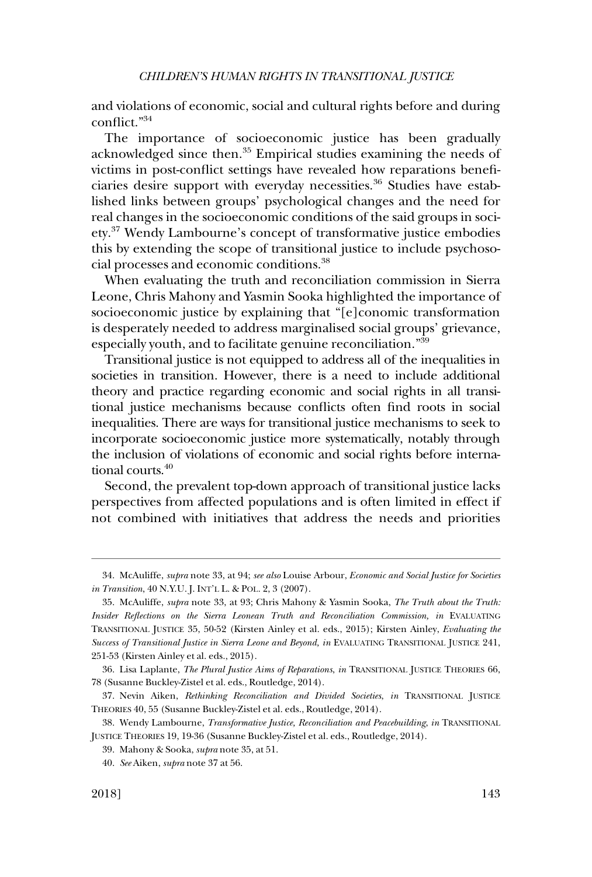and violations of economic, social and cultural rights before and during conflict."34

The importance of socioeconomic justice has been gradually acknowledged since then.35 Empirical studies examining the needs of victims in post-conflict settings have revealed how reparations beneficiaries desire support with everyday necessities.<sup>36</sup> Studies have established links between groups' psychological changes and the need for real changes in the socioeconomic conditions of the said groups in society.37 Wendy Lambourne's concept of transformative justice embodies this by extending the scope of transitional justice to include psychosocial processes and economic conditions.38

When evaluating the truth and reconciliation commission in Sierra Leone, Chris Mahony and Yasmin Sooka highlighted the importance of socioeconomic justice by explaining that "[e]conomic transformation is desperately needed to address marginalised social groups' grievance, especially youth, and to facilitate genuine reconciliation."<sup>39</sup>

Transitional justice is not equipped to address all of the inequalities in societies in transition. However, there is a need to include additional theory and practice regarding economic and social rights in all transitional justice mechanisms because conflicts often find roots in social inequalities. There are ways for transitional justice mechanisms to seek to incorporate socioeconomic justice more systematically, notably through the inclusion of violations of economic and social rights before international courts.<sup>40</sup>

Second, the prevalent top-down approach of transitional justice lacks perspectives from affected populations and is often limited in effect if not combined with initiatives that address the needs and priorities

<sup>34.</sup> McAuliffe, *supra* note 33, at 94; *see also* Louise Arbour, *Economic and Social Justice for Societies in Transition*, 40 N.Y.U. J. INT'L L. & POL. 2, 3 (2007).

<sup>35.</sup> McAuliffe, *supra* note 33, at 93; Chris Mahony & Yasmin Sooka, *The Truth about the Truth: Insider Reflections on the Sierra Leonean Truth and Reconciliation Commission, in EVALUATING* TRANSITIONAL JUSTICE 35, 50-52 (Kirsten Ainley et al. eds., 2015); Kirsten Ainley, *Evaluating the Success of Transitional Justice in Sierra Leone and Beyond, in EVALUATING TRANSITIONAL JUSTICE 241,* 251-53 (Kirsten Ainley et al. eds., 2015).

<sup>36.</sup> Lisa Laplante, *The Plural Justice Aims of Reparations*, *in* TRANSITIONAL JUSTICE THEORIES 66, 78 (Susanne Buckley-Zistel et al. eds., Routledge, 2014).

<sup>37.</sup> Nevin Aiken, *Rethinking Reconciliation and Divided Societies*, *in* TRANSITIONAL JUSTICE THEORIES 40, 55 (Susanne Buckley-Zistel et al. eds., Routledge, 2014).

<sup>38.</sup> Wendy Lambourne, *Transformative Justice, Reconciliation and Peacebuilding*, *in* TRANSITIONAL JUSTICE THEORIES 19, 19-36 (Susanne Buckley-Zistel et al. eds., Routledge, 2014).

<sup>39.</sup> Mahony & Sooka, *supra* note 35, at 51.

<sup>40.</sup> *See* Aiken, *supra* note 37 at 56.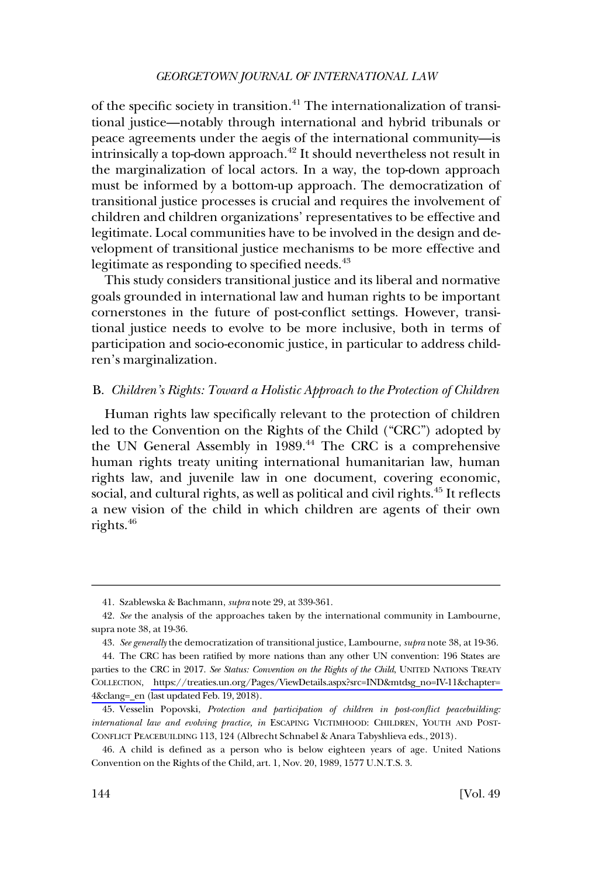<span id="page-9-0"></span>of the specific society in transition.41 The internationalization of transitional justice—notably through international and hybrid tribunals or peace agreements under the aegis of the international community—is intrinsically a top-down approach.<sup>42</sup> It should nevertheless not result in the marginalization of local actors. In a way, the top-down approach must be informed by a bottom-up approach. The democratization of transitional justice processes is crucial and requires the involvement of children and children organizations' representatives to be effective and legitimate. Local communities have to be involved in the design and development of transitional justice mechanisms to be more effective and legitimate as responding to specified needs.<sup>43</sup>

This study considers transitional justice and its liberal and normative goals grounded in international law and human rights to be important cornerstones in the future of post-conflict settings. However, transitional justice needs to evolve to be more inclusive, both in terms of participation and socio-economic justice, in particular to address children's marginalization.

#### B. *Children's Rights: Toward a Holistic Approach to the Protection of Children*

Human rights law specifically relevant to the protection of children led to the Convention on the Rights of the Child ("CRC") adopted by the UN General Assembly in 1989.<sup>44</sup> The CRC is a comprehensive human rights treaty uniting international humanitarian law, human rights law, and juvenile law in one document, covering economic, social, and cultural rights, as well as political and civil rights.<sup>45</sup> It reflects a new vision of the child in which children are agents of their own rights.46

<sup>41.</sup> Szablewska & Bachmann, *supra* note 29, at 339-361.

<sup>42.</sup> *See* the analysis of the approaches taken by the international community in Lambourne, supra note 38, at 19-36.

<sup>43.</sup> *See generally* the democratization of transitional justice, Lambourne, *supra* note 38, at 19-36.

The CRC has been ratified by more nations than any other UN convention: 196 States are 44. parties to the CRC in 2017. *See Status: Convention on the Rights of the Child*, UNITED NATIONS TREATY COLLECTION, [https://treaties.un.org/Pages/ViewDetails.aspx?src=IND&mtdsg\\_no=IV-11&chapter=](https://treaties.un.org/Pages/ViewDetails.aspx?src=IND&mtdsg_no=IV-11&chapter=4&clang=_en)  [4&clang=\\_en](https://treaties.un.org/Pages/ViewDetails.aspx?src=IND&mtdsg_no=IV-11&chapter=4&clang=_en) (last updated Feb. 19, 2018).

<sup>45.</sup> Vesselin Popovski, *Protection and participation of children in post-conflict peacebuilding: international law and evolving practice, in* ESCAPING VICTIMHOOD: CHILDREN, YOUTH AND POST-CONFLICT PEACEBUILDING 113, 124 (Albrecht Schnabel & Anara Tabyshlieva eds., 2013).

<sup>46.</sup> A child is defined as a person who is below eighteen years of age. United Nations Convention on the Rights of the Child, art. 1, Nov. 20, 1989, 1577 U.N.T.S. 3.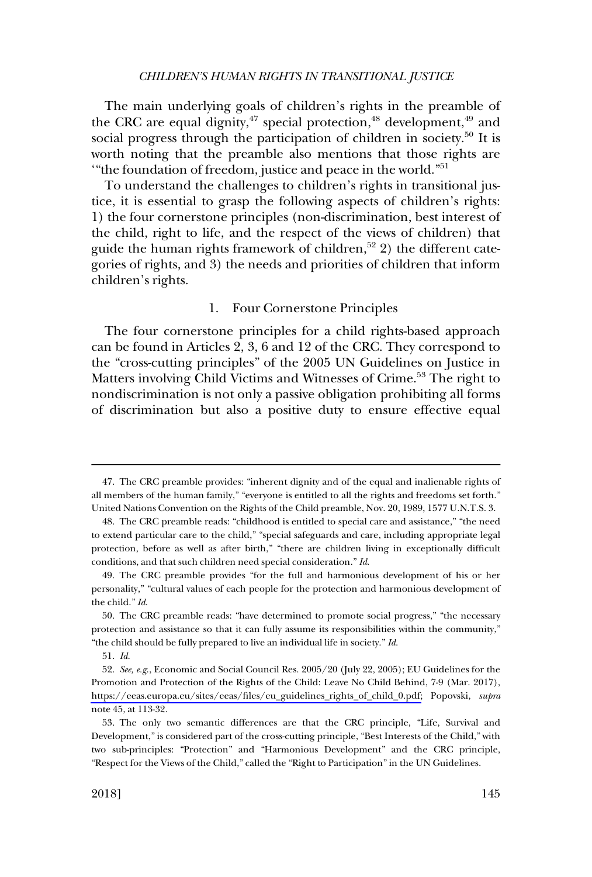<span id="page-10-0"></span>The main underlying goals of children's rights in the preamble of the CRC are equal dignity,  $47$  special protection,  $48$  development,  $49$  and social progress through the participation of children in society.<sup>50</sup> It is worth noting that the preamble also mentions that those rights are '"the foundation of freedom, justice and peace in the world."51

To understand the challenges to children's rights in transitional justice, it is essential to grasp the following aspects of children's rights: 1) the four cornerstone principles (non-discrimination, best interest of the child, right to life, and the respect of the views of children) that guide the human rights framework of children, $52$  2) the different categories of rights, and 3) the needs and priorities of children that inform children's rights.

#### 1. Four Cornerstone Principles

The four cornerstone principles for a child rights-based approach can be found in Articles 2, 3, 6 and 12 of the CRC. They correspond to the "cross-cutting principles" of the 2005 UN Guidelines on Justice in Matters involving Child Victims and Witnesses of Crime.<sup>53</sup> The right to nondiscrimination is not only a passive obligation prohibiting all forms of discrimination but also a positive duty to ensure effective equal

<sup>47.</sup> The CRC preamble provides: "inherent dignity and of the equal and inalienable rights of all members of the human family," "everyone is entitled to all the rights and freedoms set forth." United Nations Convention on the Rights of the Child preamble, Nov. 20, 1989, 1577 U.N.T.S. 3.

<sup>48.</sup> The CRC preamble reads: "childhood is entitled to special care and assistance," "the need to extend particular care to the child," "special safeguards and care, including appropriate legal protection, before as well as after birth," "there are children living in exceptionally difficult conditions, and that such children need special consideration." *Id*.

<sup>49.</sup> The CRC preamble provides "for the full and harmonious development of his or her personality," "cultural values of each people for the protection and harmonious development of the child." *Id*.

<sup>50.</sup> The CRC preamble reads: "have determined to promote social progress," "the necessary protection and assistance so that it can fully assume its responsibilities within the community," "the child should be fully prepared to live an individual life in society." *Id*.

<sup>51.</sup> *Id*.

*See, e.g*., Economic and Social Council Res. 2005/20 (July 22, 2005); EU Guidelines for the 52. Promotion and Protection of the Rights of the Child: Leave No Child Behind, 7-9 (Mar. 2017), [https://eeas.europa.eu/sites/eeas/files/eu\\_guidelines\\_rights\\_of\\_child\\_0.pdf;](https://eeas.europa.eu/sites/eeas/files/eu_guidelines_rights_of_child_0.pdf) Popovski, *supra*  note 45, at 113-32.

<sup>53.</sup> The only two semantic differences are that the CRC principle, "Life, Survival and Development," is considered part of the cross-cutting principle, "Best Interests of the Child," with two sub-principles: "Protection" and "Harmonious Development" and the CRC principle, "Respect for the Views of the Child," called the "Right to Participation" in the UN Guidelines.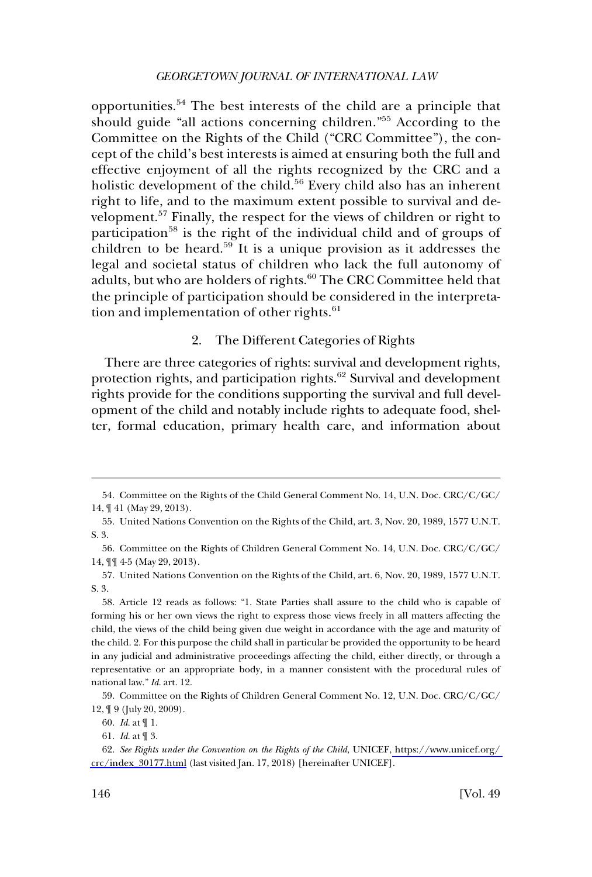<span id="page-11-0"></span>opportunities.54 The best interests of the child are a principle that should guide "all actions concerning children."<sup>55</sup> According to the Committee on the Rights of the Child ("CRC Committee"), the concept of the child's best interests is aimed at ensuring both the full and effective enjoyment of all the rights recognized by the CRC and a holistic development of the child.<sup>56</sup> Every child also has an inherent right to life, and to the maximum extent possible to survival and development.57 Finally, the respect for the views of children or right to participation<sup>58</sup> is the right of the individual child and of groups of children to be heard.<sup>59</sup> It is a unique provision as it addresses the legal and societal status of children who lack the full autonomy of adults, but who are holders of rights.<sup>60</sup> The CRC Committee held that the principle of participation should be considered in the interpretation and implementation of other rights.<sup>61</sup>

### 2. The Different Categories of Rights

There are three categories of rights: survival and development rights, protection rights, and participation rights.<sup>62</sup> Survival and development rights provide for the conditions supporting the survival and full development of the child and notably include rights to adequate food, shelter, formal education, primary health care, and information about

60. *Id*. at ¶ 1.

<sup>54.</sup> Committee on the Rights of the Child General Comment No. 14, U.N. Doc. CRC/C/GC/ 14, ¶ 41 (May 29, 2013).

<sup>55.</sup> United Nations Convention on the Rights of the Child, art. 3, Nov. 20, 1989, 1577 U.N.T. S. 3.

<sup>56.</sup> Committee on the Rights of Children General Comment No. 14, U.N. Doc. CRC/C/GC/ 14, ¶¶ 4-5 (May 29, 2013).

<sup>57.</sup> United Nations Convention on the Rights of the Child, art. 6, Nov. 20, 1989, 1577 U.N.T. S. 3.

<sup>58.</sup> Article 12 reads as follows: "1. State Parties shall assure to the child who is capable of forming his or her own views the right to express those views freely in all matters affecting the child, the views of the child being given due weight in accordance with the age and maturity of the child. 2. For this purpose the child shall in particular be provided the opportunity to be heard in any judicial and administrative proceedings affecting the child, either directly, or through a representative or an appropriate body, in a manner consistent with the procedural rules of national law." *Id*. art. 12.

<sup>59.</sup> Committee on the Rights of Children General Comment No. 12, U.N. Doc. CRC/C/GC/ 12, ¶ 9 (July 20, 2009).

<sup>61.</sup> *Id*. at ¶ 3.

*See Rights under the Convention on the Rights of the Child*, UNICEF, [https://www.unicef.org/](https://www.unicef.org/crc/index_30177.html)  62. [crc/index\\_30177.html](https://www.unicef.org/crc/index_30177.html) (last visited Jan. 17, 2018) [hereinafter UNICEF].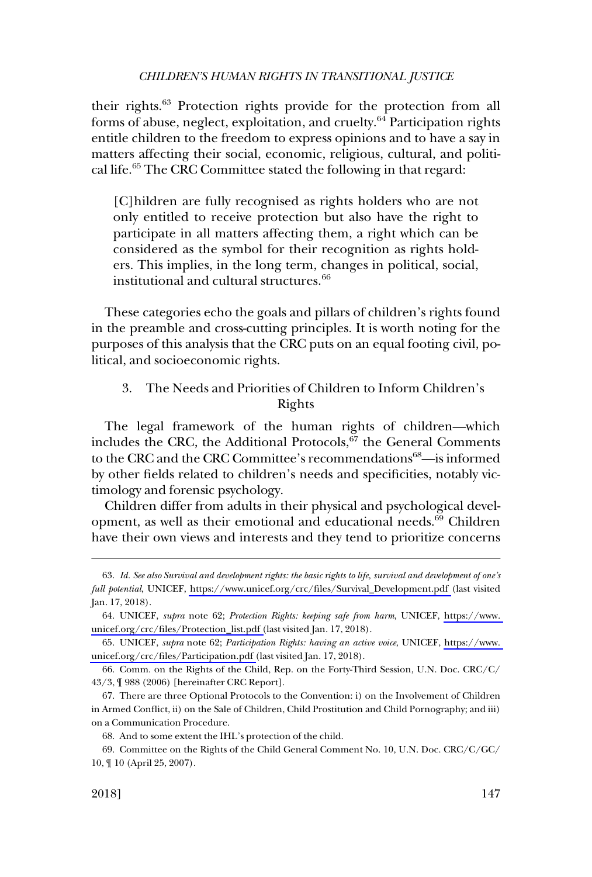<span id="page-12-0"></span>their rights.<sup>63</sup> Protection rights provide for the protection from all forms of abuse, neglect, exploitation, and cruelty.<sup>64</sup> Participation rights entitle children to the freedom to express opinions and to have a say in matters affecting their social, economic, religious, cultural, and political life.<sup>65</sup> The CRC Committee stated the following in that regard:

[C]hildren are fully recognised as rights holders who are not only entitled to receive protection but also have the right to participate in all matters affecting them, a right which can be considered as the symbol for their recognition as rights holders. This implies, in the long term, changes in political, social, institutional and cultural structures.<sup>66</sup>

These categories echo the goals and pillars of children's rights found in the preamble and cross-cutting principles. It is worth noting for the purposes of this analysis that the CRC puts on an equal footing civil, political, and socioeconomic rights.

# 3. The Needs and Priorities of Children to Inform Children's Rights

The legal framework of the human rights of children—which includes the CRC, the Additional Protocols, $\overline{67}$  the General Comments to the CRC and the CRC Committee's recommendations<sup>68</sup>—is informed by other fields related to children's needs and specificities, notably victimology and forensic psychology.

Children differ from adults in their physical and psychological development, as well as their emotional and educational needs.<sup>69</sup> Children have their own views and interests and they tend to prioritize concerns

*Id. See also Survival and development rights: the basic rights to life, survival and development of one's*  63. *full potential*, UNICEF, [https://www.unicef.org/crc/files/Survival\\_Development.pdf](https://www.unicef.org/crc/files/Survival_Development.pdf) (last visited Jan. 17, 2018).

UNICEF, *supra* note 62; *Protection Rights: keeping safe from harm*, UNICEF, [https://www.](https://www.unicef.org/crc/files/Protection_list.pdf)  64. [unicef.org/crc/files/Protection\\_list.pdf \(](https://www.unicef.org/crc/files/Protection_list.pdf)last visited Jan. 17, 2018).

UNICEF, *supra* note 62; *Participation Rights: having an active voice*, UNICEF, [https://www.](https://www.unicef.org/crc/files/Participation.pdf)  65. [unicef.org/crc/files/Participation.pdf \(](https://www.unicef.org/crc/files/Participation.pdf)last visited Jan. 17, 2018).

<sup>66.</sup> Comm. on the Rights of the Child, Rep. on the Forty-Third Session, U.N. Doc. CRC/C/ 43/3, ¶ 988 (2006) [hereinafter CRC Report].

<sup>67.</sup> There are three Optional Protocols to the Convention: i) on the Involvement of Children in Armed Conflict, ii) on the Sale of Children, Child Prostitution and Child Pornography; and iii) on a Communication Procedure.

<sup>68.</sup> And to some extent the IHL's protection of the child.

<sup>69.</sup> Committee on the Rights of the Child General Comment No. 10, U.N. Doc. CRC/C/GC/ 10, ¶ 10 (April 25, 2007).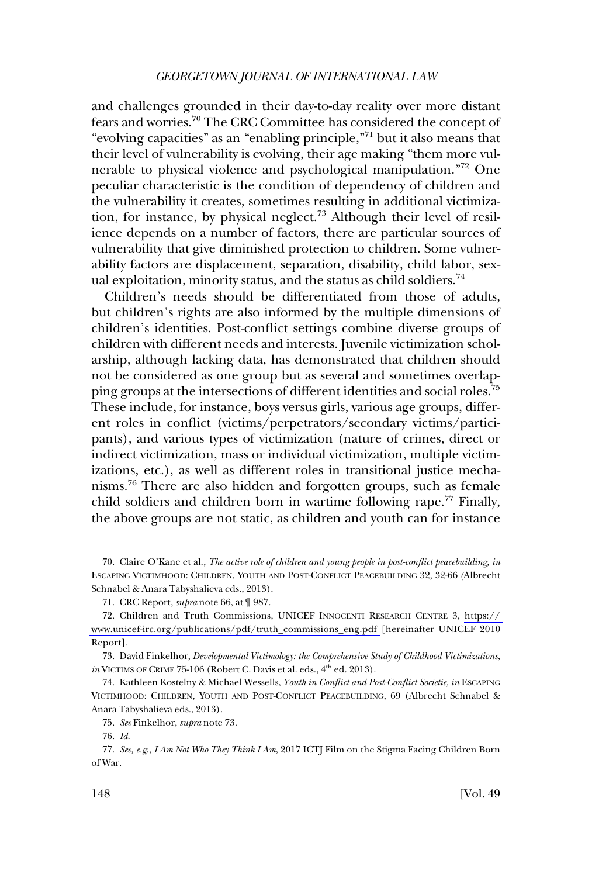and challenges grounded in their day-to-day reality over more distant fears and worries.70 The CRC Committee has considered the concept of "evolving capacities" as an "enabling principle,"71 but it also means that their level of vulnerability is evolving, their age making "them more vulnerable to physical violence and psychological manipulation."<sup>72</sup> One peculiar characteristic is the condition of dependency of children and the vulnerability it creates, sometimes resulting in additional victimization, for instance, by physical neglect.<sup>73</sup> Although their level of resilience depends on a number of factors, there are particular sources of vulnerability that give diminished protection to children. Some vulnerability factors are displacement, separation, disability, child labor, sexual exploitation, minority status, and the status as child soldiers.<sup>74</sup>

Children's needs should be differentiated from those of adults, but children's rights are also informed by the multiple dimensions of children's identities. Post-conflict settings combine diverse groups of children with different needs and interests. Juvenile victimization scholarship, although lacking data, has demonstrated that children should not be considered as one group but as several and sometimes overlapping groups at the intersections of different identities and social roles.<sup>75</sup> These include, for instance, boys versus girls, various age groups, different roles in conflict (victims/perpetrators/secondary victims/participants), and various types of victimization (nature of crimes, direct or indirect victimization, mass or individual victimization, multiple victimizations, etc.), as well as different roles in transitional justice mechanisms.76 There are also hidden and forgotten groups, such as female child soldiers and children born in wartime following rape.<sup>77</sup> Finally, the above groups are not static, as children and youth can for instance

<sup>70.</sup> Claire O'Kane et al., *The active role of children and young people in post-conflict peacebuilding, in*  ESCAPING VICTIMHOOD: CHILDREN, YOUTH AND POST-CONFLICT PEACEBUILDING 32, 32-66 *(*Albrecht Schnabel & Anara Tabyshalieva eds., 2013).

<sup>71.</sup> CRC Report, *supra* note 66, at ¶ 987.

<sup>.</sup> Children and Truth Commissions, UNICEF INNOCENTI RESEARCH CENTRE 3, [https://](https://www.unicef-irc.org/publications/pdf/truth_commissions_eng.pdf)  72 [www.unicef-irc.org/publications/pdf/truth\\_commissions\\_eng.pdf](https://www.unicef-irc.org/publications/pdf/truth_commissions_eng.pdf) [hereinafter UNICEF 2010 Report].

<sup>73.</sup> David Finkelhor, *Developmental Victimology: the Comprehensive Study of Childhood Victimizations*, *in* VICTIMS OF CRIME 75-106 (Robert C. Davis et al. eds., 4<sup>th</sup> ed. 2013).

<sup>74.</sup> Kathleen Kostelny & Michael Wessells, *Youth in Conflict and Post-Conflict Societie, in* ESCAPING VICTIMHOOD: CHILDREN, YOUTH AND POST-CONFLICT PEACEBUILDING, 69 (Albrecht Schnabel & Anara Tabyshalieva eds., 2013).

<sup>75.</sup> *See* Finkelhor, *supra* note 73.

<sup>76.</sup> *Id*.

<sup>77.</sup> *See, e.g*., *I Am Not Who They Think I Am*, 2017 ICTJ Film on the Stigma Facing Children Born of War.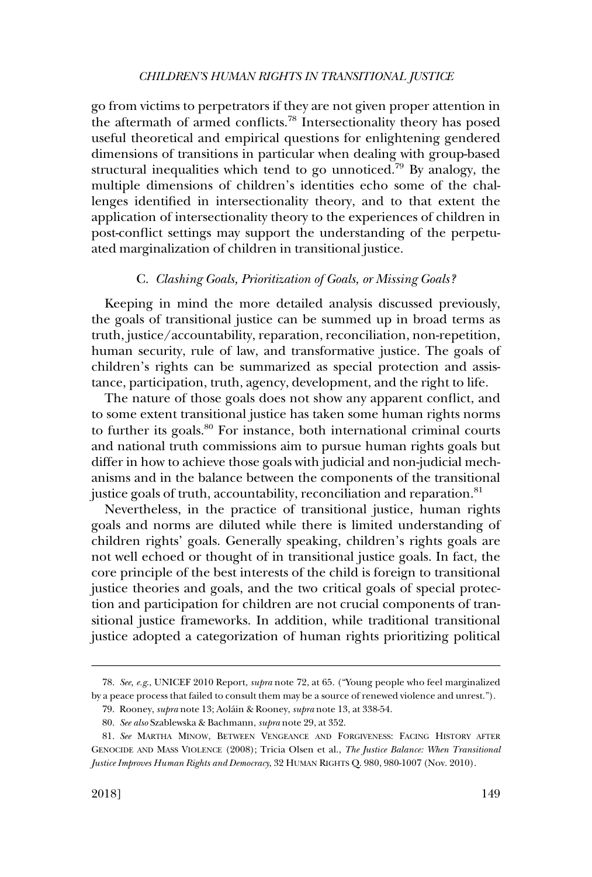<span id="page-14-0"></span>go from victims to perpetrators if they are not given proper attention in the aftermath of armed conflicts.78 Intersectionality theory has posed useful theoretical and empirical questions for enlightening gendered dimensions of transitions in particular when dealing with group-based structural inequalities which tend to go unnoticed.<sup>79</sup> By analogy, the multiple dimensions of children's identities echo some of the challenges identified in intersectionality theory, and to that extent the application of intersectionality theory to the experiences of children in post-conflict settings may support the understanding of the perpetuated marginalization of children in transitional justice.

#### C. *Clashing Goals, Prioritization of Goals, or Missing Goals?*

Keeping in mind the more detailed analysis discussed previously, the goals of transitional justice can be summed up in broad terms as truth, justice/accountability, reparation, reconciliation, non-repetition, human security, rule of law, and transformative justice. The goals of children's rights can be summarized as special protection and assistance, participation, truth, agency, development, and the right to life.

The nature of those goals does not show any apparent conflict, and to some extent transitional justice has taken some human rights norms to further its goals.<sup>80</sup> For instance, both international criminal courts and national truth commissions aim to pursue human rights goals but differ in how to achieve those goals with judicial and non-judicial mechanisms and in the balance between the components of the transitional justice goals of truth, accountability, reconciliation and reparation.<sup>81</sup>

Nevertheless, in the practice of transitional justice, human rights goals and norms are diluted while there is limited understanding of children rights' goals. Generally speaking, children's rights goals are not well echoed or thought of in transitional justice goals. In fact, the core principle of the best interests of the child is foreign to transitional justice theories and goals, and the two critical goals of special protection and participation for children are not crucial components of transitional justice frameworks. In addition, while traditional transitional justice adopted a categorization of human rights prioritizing political

<sup>78.</sup> *See, e.g*., UNICEF 2010 Report, *supra* note 72, at 65. ("Young people who feel marginalized by a peace process that failed to consult them may be a source of renewed violence and unrest.").

<sup>79.</sup> Rooney, *supra* note 13; Aola´in & Rooney, *supra* note 13, at 338-54.

<sup>80.</sup> *See also* Szablewska & Bachmann, *supra* note 29, at 352.

<sup>81.</sup> *See* MARTHA MINOW, BETWEEN VENGEANCE AND FORGIVENESS: FACING HISTORY AFTER GENOCIDE AND MASS VIOLENCE (2008); Tricia Olsen et al., *The Justice Balance: When Transitional Justice Improves Human Rights and Democracy*, 32 HUMAN RIGHTS Q. 980, 980-1007 (Nov. 2010).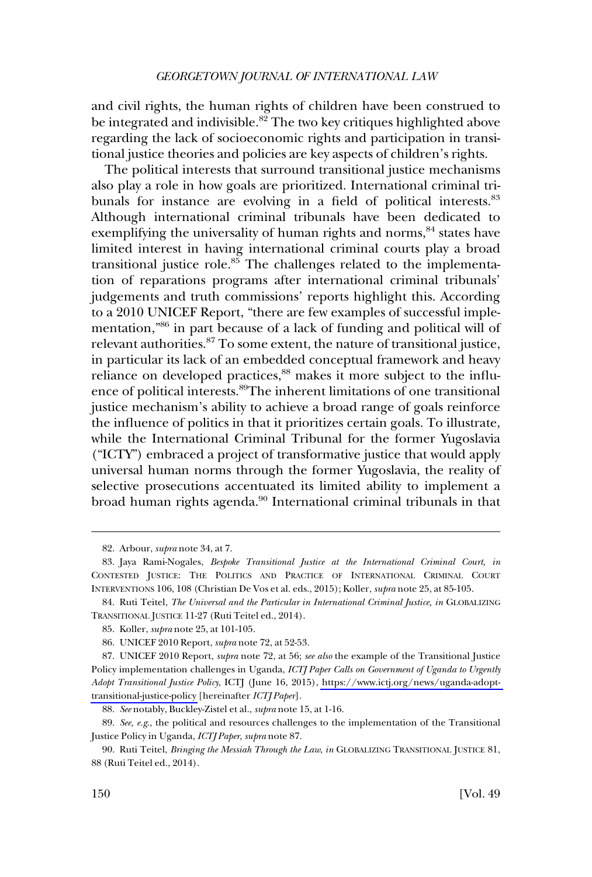and civil rights, the human rights of children have been construed to be integrated and indivisible.<sup>82</sup> The two key critiques highlighted above regarding the lack of socioeconomic rights and participation in transitional justice theories and policies are key aspects of children's rights.

The political interests that surround transitional justice mechanisms also play a role in how goals are prioritized. International criminal tribunals for instance are evolving in a field of political interests.<sup>83</sup> Although international criminal tribunals have been dedicated to exemplifying the universality of human rights and norms,<sup>84</sup> states have limited interest in having international criminal courts play a broad transitional justice role. $85$  The challenges related to the implementation of reparations programs after international criminal tribunals' judgements and truth commissions' reports highlight this. According to a 2010 UNICEF Report, "there are few examples of successful implementation,"86 in part because of a lack of funding and political will of relevant authorities.<sup>87</sup> To some extent, the nature of transitional justice, in particular its lack of an embedded conceptual framework and heavy reliance on developed practices,<sup>88</sup> makes it more subject to the influence of political interests.89The inherent limitations of one transitional justice mechanism's ability to achieve a broad range of goals reinforce the influence of politics in that it prioritizes certain goals. To illustrate, while the International Criminal Tribunal for the former Yugoslavia ("ICTY") embraced a project of transformative justice that would apply universal human norms through the former Yugoslavia, the reality of selective prosecutions accentuated its limited ability to implement a broad human rights agenda.<sup>90</sup> International criminal tribunals in that

<sup>82.</sup> Arbour, *supra* note 34, at 7.

<sup>83.</sup> Jaya Rami-Nogales, *Bespoke Transitional Justice at the International Criminal Court, in*  CONTESTED JUSTICE: THE POLITICS AND PRACTICE OF INTERNATIONAL CRIMINAL COURT INTERVENTIONS 106, 108 (Christian De Vos et al. eds., 2015); Koller, *supra* note 25, at 85-105.

<sup>84.</sup> Ruti Teitel, *The Universal and the Particular in International Criminal Justice, in* GLOBALIZING TRANSITIONAL JUSTICE 11-27 (Ruti Teitel ed., 2014).

<sup>85.</sup> Koller, *supra* note 25, at 101-105.

<sup>86.</sup> UNICEF 2010 Report, *supra* note 72, at 52-53.

UNICEF 2010 Report, *supra* note 72, at 56; *see also* the example of the Transitional Justice 87. Policy implementation challenges in Uganda, *ICTJ Paper Calls on Government of Uganda to Urgently Adopt Transitional Justice Policy*, ICTJ (June 16, 2015), [https://www.ictj.org/news/uganda-adopt](https://www.ictj.org/news/uganda-adopt-transitional-justice-policy)[transitional-justice-policy](https://www.ictj.org/news/uganda-adopt-transitional-justice-policy) [hereinafter *ICTJ Paper*].

<sup>88.</sup> *See* notably, Buckley-Zistel et al., *supra* note 15, at 1-16.

<sup>89.</sup> *See, e.g*., the political and resources challenges to the implementation of the Transitional Justice Policy in Uganda, *ICTJ Paper*, *supra* note 87.

<sup>90.</sup> Ruti Teitel, *Bringing the Messiah Through the Law*, *in* GLOBALIZING TRANSITIONAL JUSTICE 81, 88 (Ruti Teitel ed., 2014).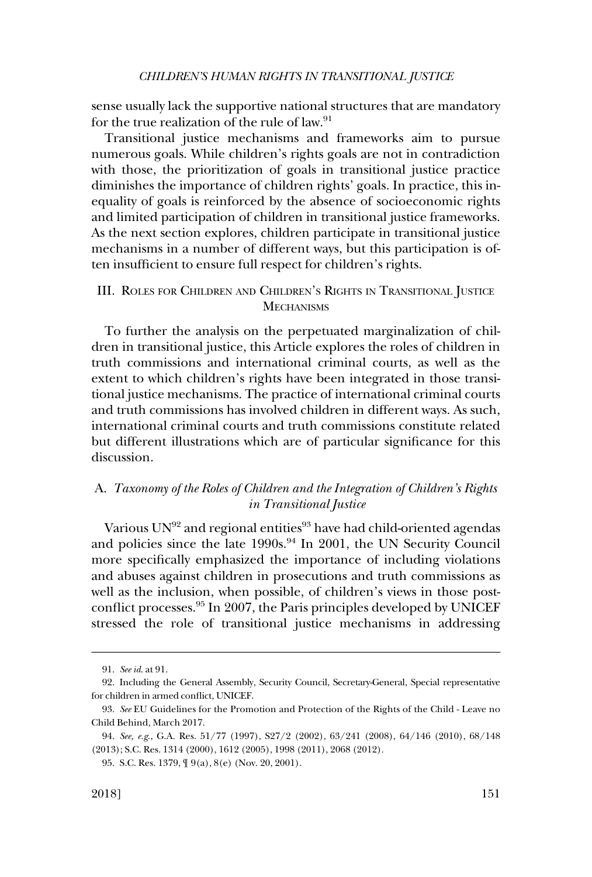<span id="page-16-0"></span>sense usually lack the supportive national structures that are mandatory for the true realization of the rule of law.<sup>91</sup>

Transitional justice mechanisms and frameworks aim to pursue numerous goals. While children's rights goals are not in contradiction with those, the prioritization of goals in transitional justice practice diminishes the importance of children rights' goals. In practice, this inequality of goals is reinforced by the absence of socioeconomic rights and limited participation of children in transitional justice frameworks. As the next section explores, children participate in transitional justice mechanisms in a number of different ways, but this participation is often insufficient to ensure full respect for children's rights.

## III. ROLES FOR CHILDREN AND CHILDREN'S RIGHTS IN TRANSITIONAL JUSTICE **MECHANISMS**

To further the analysis on the perpetuated marginalization of children in transitional justice, this Article explores the roles of children in truth commissions and international criminal courts, as well as the extent to which children's rights have been integrated in those transitional justice mechanisms. The practice of international criminal courts and truth commissions has involved children in different ways. As such, international criminal courts and truth commissions constitute related but different illustrations which are of particular significance for this discussion.

# A. *Taxonomy of the Roles of Children and the Integration of Children's Rights in Transitional Justice*

Various UN<sup>92</sup> and regional entities<sup>93</sup> have had child-oriented agendas and policies since the late 1990s.<sup>94</sup> In 2001, the UN Security Council more specifically emphasized the importance of including violations and abuses against children in prosecutions and truth commissions as well as the inclusion, when possible, of children's views in those postconflict processes.95 In 2007, the Paris principles developed by UNICEF stressed the role of transitional justice mechanisms in addressing

<sup>91.</sup> *See id*. at 91.

<sup>92.</sup> Including the General Assembly, Security Council, Secretary-General, Special representative for children in armed conflict, UNICEF.

<sup>93.</sup> *See* EU Guidelines for the Promotion and Protection of the Rights of the Child - Leave no Child Behind, March 2017.

<sup>94.</sup> *See, e.g*., G.A. Res. 51/77 (1997), S27/2 (2002), 63/241 (2008), 64/146 (2010), 68/148 (2013); S.C. Res. 1314 (2000), 1612 (2005), 1998 (2011), 2068 (2012).

<sup>95.</sup> S.C. Res. 1379, ¶ 9(a), 8(e) (Nov. 20, 2001).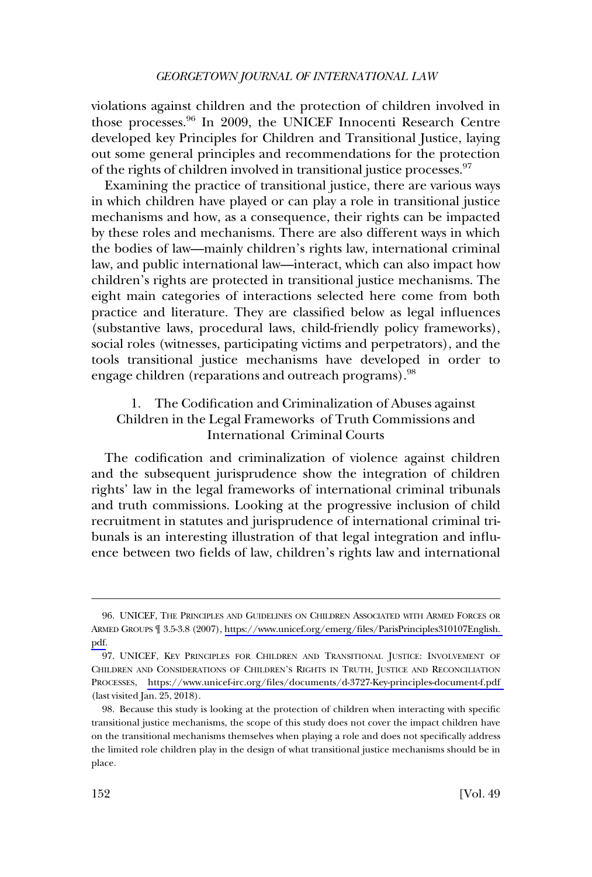<span id="page-17-0"></span>violations against children and the protection of children involved in those processes.96 In 2009, the UNICEF Innocenti Research Centre developed key Principles for Children and Transitional Justice, laying out some general principles and recommendations for the protection of the rights of children involved in transitional justice processes.<sup>97</sup>

Examining the practice of transitional justice, there are various ways in which children have played or can play a role in transitional justice mechanisms and how, as a consequence, their rights can be impacted by these roles and mechanisms. There are also different ways in which the bodies of law—mainly children's rights law, international criminal law, and public international law—interact, which can also impact how children's rights are protected in transitional justice mechanisms. The eight main categories of interactions selected here come from both practice and literature. They are classified below as legal influences (substantive laws, procedural laws, child-friendly policy frameworks), social roles (witnesses, participating victims and perpetrators), and the tools transitional justice mechanisms have developed in order to engage children (reparations and outreach programs).<sup>98</sup>

## 1. The Codification and Criminalization of Abuses against Children in the Legal Frameworks of Truth Commissions and International Criminal Courts

The codification and criminalization of violence against children and the subsequent jurisprudence show the integration of children rights' law in the legal frameworks of international criminal tribunals and truth commissions. Looking at the progressive inclusion of child recruitment in statutes and jurisprudence of international criminal tribunals is an interesting illustration of that legal integration and influence between two fields of law, children's rights law and international

UNICEF, THE PRINCIPLES AND GUIDELINES ON CHILDREN ASSOCIATED WITH ARMED FORCES OR 96. ARMED GROUPS ¶ 3.5-3.8 (2007), [https://www.unicef.org/emerg/files/ParisPrinciples310107English.](https://www.unicef.org/emerg/files/ParisPrinciples310107English.pdf)  [pdf.](https://www.unicef.org/emerg/files/ParisPrinciples310107English.pdf)

<sup>97.</sup> UNICEF, KEY PRINCIPLES FOR CHILDREN AND TRANSITIONAL JUSTICE: INVOLVEMENT OF CHILDREN AND CONSIDERATIONS OF CHILDREN'S RIGHTS IN TRUTH, JUSTICE AND RECONCILIATION PROCESSES, <https://www.unicef-irc.org/files/documents/d-3727-Key-principles-document-f.pdf> (last visited Jan. 25, 2018).

<sup>98.</sup> Because this study is looking at the protection of children when interacting with specific transitional justice mechanisms, the scope of this study does not cover the impact children have on the transitional mechanisms themselves when playing a role and does not specifically address the limited role children play in the design of what transitional justice mechanisms should be in place.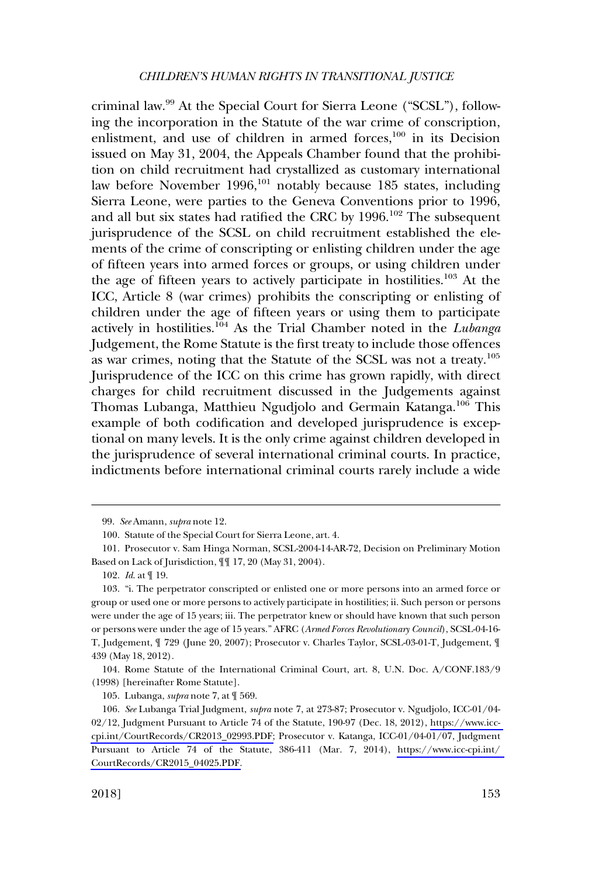criminal law.99 At the Special Court for Sierra Leone ("SCSL"), following the incorporation in the Statute of the war crime of conscription, enlistment, and use of children in armed forces,<sup>100</sup> in its Decision issued on May 31, 2004, the Appeals Chamber found that the prohibition on child recruitment had crystallized as customary international law before November 1996,<sup>101</sup> notably because 185 states, including Sierra Leone, were parties to the Geneva Conventions prior to 1996, and all but six states had ratified the CRC by  $1996$ .<sup>102</sup> The subsequent jurisprudence of the SCSL on child recruitment established the elements of the crime of conscripting or enlisting children under the age of fifteen years into armed forces or groups, or using children under the age of fifteen years to actively participate in hostilities.<sup>103</sup> At the ICC, Article 8 (war crimes) prohibits the conscripting or enlisting of children under the age of fifteen years or using them to participate actively in hostilities.104 As the Trial Chamber noted in the *Lubanga*  Judgement, the Rome Statute is the first treaty to include those offences as war crimes, noting that the Statute of the SCSL was not a treaty.<sup>105</sup> Jurisprudence of the ICC on this crime has grown rapidly, with direct charges for child recruitment discussed in the Judgements against Thomas Lubanga, Matthieu Ngudjolo and Germain Katanga.<sup>106</sup> This example of both codification and developed jurisprudence is exceptional on many levels. It is the only crime against children developed in the jurisprudence of several international criminal courts. In practice, indictments before international criminal courts rarely include a wide

104. Rome Statute of the International Criminal Court, art. 8, U.N. Doc. A/CONF.183/9 (1998) [hereinafter Rome Statute].

<sup>99.</sup> *See* Amann, *supra* note 12.

<sup>100.</sup> Statute of the Special Court for Sierra Leone, art. 4.

<sup>101.</sup> Prosecutor v. Sam Hinga Norman, SCSL-2004-14-AR-72, Decision on Preliminary Motion Based on Lack of Jurisdiction, ¶¶ 17, 20 (May 31, 2004).

<sup>102.</sup> *Id*. at ¶ 19.

<sup>103. &</sup>quot;i. The perpetrator conscripted or enlisted one or more persons into an armed force or group or used one or more persons to actively participate in hostilities; ii. Such person or persons were under the age of 15 years; iii. The perpetrator knew or should have known that such person or persons were under the age of 15 years." AFRC (*Armed Forces Revolutionary Council*), SCSL-04-16- T, Judgement, ¶ 729 (June 20, 2007); Prosecutor v. Charles Taylor, SCSL-03-01-T, Judgement, ¶ 439 (May 18, 2012).

<sup>105.</sup> Lubanga, *supra* note 7, at ¶ 569.

*See* Lubanga Trial Judgment, *supra* note 7, at 273-87; Prosecutor v. Ngudjolo, ICC-01/04- 106. 02/12, Judgment Pursuant to Article 74 of the Statute, 190-97 (Dec. 18, 2012), [https://www.icc](https://www.icc-cpi.int/CourtRecords/CR2013_02993.PDF)[cpi.int/CourtRecords/CR2013\\_02993.PDF;](https://www.icc-cpi.int/CourtRecords/CR2013_02993.PDF) Prosecutor v. Katanga, ICC-01/04-01/07, Judgment Pursuant to Article 74 of the Statute, 386-411 (Mar. 7, 2014), [https://www.icc-cpi.int/](https://www.icc-cpi.int/CourtRecords/CR2015_04025.PDF)  [CourtRecords/CR2015\\_04025.PDF.](https://www.icc-cpi.int/CourtRecords/CR2015_04025.PDF)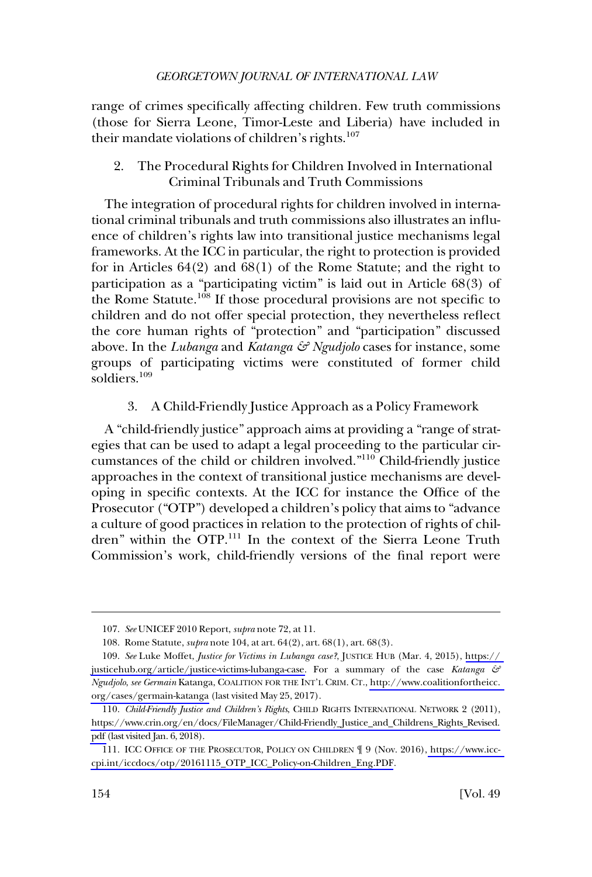<span id="page-19-0"></span>range of crimes specifically affecting children. Few truth commissions (those for Sierra Leone, Timor-Leste and Liberia) have included in their mandate violations of children's rights.<sup>107</sup>

2. The Procedural Rights for Children Involved in International Criminal Tribunals and Truth Commissions

The integration of procedural rights for children involved in international criminal tribunals and truth commissions also illustrates an influence of children's rights law into transitional justice mechanisms legal frameworks. At the ICC in particular, the right to protection is provided for in Articles 64(2) and 68(1) of the Rome Statute; and the right to participation as a "participating victim" is laid out in Article 68(3) of the Rome Statute.<sup>108</sup> If those procedural provisions are not specific to children and do not offer special protection, they nevertheless reflect the core human rights of "protection" and "participation" discussed above. In the *Lubanga* and *Katanga & Ngudjolo* cases for instance, some groups of participating victims were constituted of former child soldiers.109

3. A Child-Friendly Justice Approach as a Policy Framework

A "child-friendly justice" approach aims at providing a "range of strategies that can be used to adapt a legal proceeding to the particular circumstances of the child or children involved."<sup>110</sup> Child-friendly justice approaches in the context of transitional justice mechanisms are developing in specific contexts. At the ICC for instance the Office of the Prosecutor ("OTP") developed a children's policy that aims to "advance a culture of good practices in relation to the protection of rights of children" within the OTP.111 In the context of the Sierra Leone Truth Commission's work, child-friendly versions of the final report were

<sup>107.</sup> *See* UNICEF 2010 Report, *supra* note 72, at 11.

<sup>108.</sup> Rome Statute, *supra* note 104, at art. 64(2), art. 68(1), art. 68(3).

*See* Luke Moffet, *Justice for Victims in Lubanga case?*, JUSTICE HUB (Mar. 4, 2015), [https://](https://justicehub.org/article/justice-victims-lubanga-case)  109. [justicehub.org/article/justice-victims-lubanga-case.](https://justicehub.org/article/justice-victims-lubanga-case) For a summary of the case *Katanga & Ngudjolo*, *see Germain* Katanga, COALITION FOR THE INT'L CRIM. CT., [http://www.coalitionfortheicc.](http://www.coalitionfortheicc.org/cases/germain-katanga)  [org/cases/germain-katanga](http://www.coalitionfortheicc.org/cases/germain-katanga) (last visited May 25, 2017).

*Child-Friendly Justice and Children's Rights*, CHILD RIGHTS INTERNATIONAL NETWORK 2 (2011), 110. [https://www.crin.org/en/docs/FileManager/Child-Friendly\\_Justice\\_and\\_Childrens\\_Rights\\_Revised.](https://www.crin.org/en/docs/FileManager/Child-Friendly_Justice_and_Childrens_Rights_Revised.pdf)  [pdf](https://www.crin.org/en/docs/FileManager/Child-Friendly_Justice_and_Childrens_Rights_Revised.pdf) (last visited Jan. 6, 2018).

<sup>111.</sup> ICC OFFICE OF THE PROSECUTOR, POLICY ON CHILDREN  $\mathcal{J}$  9 (Nov. 2016)[, https://www.icc](https://www.icc-cpi.int/iccdocs/otp/20161115_OTP_ICC_Policy-on-Children_Eng.PDF)[cpi.int/iccdocs/otp/20161115\\_OTP\\_ICC\\_Policy-on-Children\\_Eng.PDF](https://www.icc-cpi.int/iccdocs/otp/20161115_OTP_ICC_Policy-on-Children_Eng.PDF).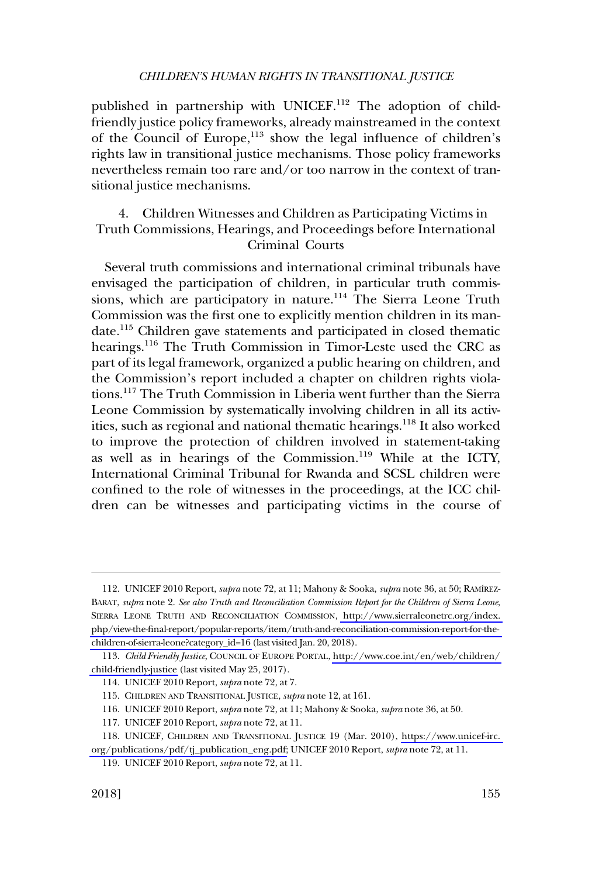<span id="page-20-0"></span>published in partnership with UNICEF.<sup>112</sup> The adoption of childfriendly justice policy frameworks, already mainstreamed in the context of the Council of Europe,<sup>113</sup> show the legal influence of children's rights law in transitional justice mechanisms. Those policy frameworks nevertheless remain too rare and/or too narrow in the context of transitional justice mechanisms.

## 4. Children Witnesses and Children as Participating Victims in Truth Commissions, Hearings, and Proceedings before International Criminal Courts

Several truth commissions and international criminal tribunals have envisaged the participation of children, in particular truth commissions, which are participatory in nature.<sup>114</sup> The Sierra Leone Truth Commission was the first one to explicitly mention children in its mandate.115 Children gave statements and participated in closed thematic hearings.<sup>116</sup> The Truth Commission in Timor-Leste used the CRC as part of its legal framework, organized a public hearing on children, and the Commission's report included a chapter on children rights violations.117 The Truth Commission in Liberia went further than the Sierra Leone Commission by systematically involving children in all its activities, such as regional and national thematic hearings.<sup>118</sup> It also worked to improve the protection of children involved in statement-taking as well as in hearings of the Commission.119 While at the ICTY, International Criminal Tribunal for Rwanda and SCSL children were confined to the role of witnesses in the proceedings, at the ICC children can be witnesses and participating victims in the course of

<sup>112.</sup> UNICEF 2010 Report, *supra* note 72, at 11; Mahony & Sooka, *supra* note 36, at 50; RAMIREZ-BARAT, *supra* note 2. *See also Truth and Reconciliation Commission Report for the Children of Sierra Leone*, SIERRA LEONE TRUTH AND RECONCILIATION COMMISSION, [http://www.sierraleonetrc.org/index.](http://www.sierraleonetrc.org/index.php/view-the-final-report/popular-reports/item/truth-and-reconciliation-commission-report-for-the-children-of-sierra-leone?category_id=16)  [php/view-the-final-report/popular-reports/item/truth-and-reconciliation-commission-report-for-the](http://www.sierraleonetrc.org/index.php/view-the-final-report/popular-reports/item/truth-and-reconciliation-commission-report-for-the-children-of-sierra-leone?category_id=16)[children-of-sierra-leone?category\\_id=16](http://www.sierraleonetrc.org/index.php/view-the-final-report/popular-reports/item/truth-and-reconciliation-commission-report-for-the-children-of-sierra-leone?category_id=16) (last visited Jan. 20, 2018).

*Child Friendly Justice*, COUNCIL OF EUROPE PORTAL, [http://www.coe.int/en/web/children/](http://www.coe.int/en/web/children/child-friendly-justice)  113. [child-friendly-justice](http://www.coe.int/en/web/children/child-friendly-justice) (last visited May 25, 2017).

<sup>114.</sup> UNICEF 2010 Report, *supra* note 72, at 7.

<sup>115.</sup> CHILDREN AND TRANSITIONAL JUSTICE, *supra* note 12, at 161.

<sup>116.</sup> UNICEF 2010 Report, *supra* note 72, at 11; Mahony & Sooka, *supra* note 36, at 50.

<sup>117.</sup> UNICEF 2010 Report, *supra* note 72, at 11.

<sup>118.</sup> UNICEF, CHILDREN AND TRANSITIONAL JUSTICE 19 (Mar. 2010), https://www.unicef-irc. [org/publications/pdf/tj\\_publication\\_eng.pdf;](https://www.unicef-irc.org/publications/pdf/tj_publication_eng.pdf) UNICEF 2010 Report, *supra* note 72, at 11.

<sup>119.</sup> UNICEF 2010 Report, *supra* note 72, at 11.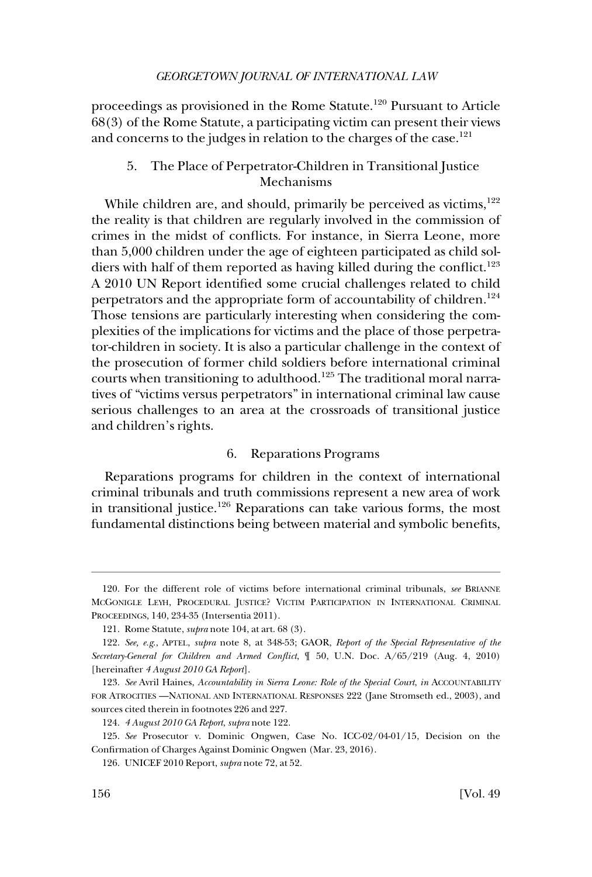<span id="page-21-0"></span>proceedings as provisioned in the Rome Statute.<sup>120</sup> Pursuant to Article 68(3) of the Rome Statute, a participating victim can present their views and concerns to the judges in relation to the charges of the case.<sup>121</sup>

### 5. The Place of Perpetrator-Children in Transitional Justice Mechanisms

While children are, and should, primarily be perceived as victims,  $122$ the reality is that children are regularly involved in the commission of crimes in the midst of conflicts. For instance, in Sierra Leone, more than 5,000 children under the age of eighteen participated as child soldiers with half of them reported as having killed during the conflict.<sup>123</sup> A 2010 UN Report identified some crucial challenges related to child perpetrators and the appropriate form of accountability of children.<sup>124</sup> Those tensions are particularly interesting when considering the complexities of the implications for victims and the place of those perpetrator-children in society. It is also a particular challenge in the context of the prosecution of former child soldiers before international criminal courts when transitioning to adulthood.125 The traditional moral narratives of "victims versus perpetrators" in international criminal law cause serious challenges to an area at the crossroads of transitional justice and children's rights.

### 6. Reparations Programs

Reparations programs for children in the context of international criminal tribunals and truth commissions represent a new area of work in transitional justice.<sup>126</sup> Reparations can take various forms, the most fundamental distinctions being between material and symbolic benefits,

<sup>120.</sup> For the different role of victims before international criminal tribunals, *see* BRIANNE MCGONIGLE LEYH, PROCEDURAL JUSTICE? VICTIM PARTICIPATION IN INTERNATIONAL CRIMINAL PROCEEDINGS, 140, 234-35 (Intersentia 2011).

<sup>121.</sup> Rome Statute, *supra* note 104, at art. 68 (3).

<sup>122.</sup> *See, e.g*., APTEL, *supra* note 8, at 348-53; GAOR, *Report of the Special Representative of the Secretary-General for Children and Armed Conflict*, ¶ 50, U.N. Doc. A/65/219 (Aug. 4, 2010) [hereinafter *4 August 2010 GA Report*].

<sup>123.</sup> *See* Avril Haines, *Accountability in Sierra Leone: Role of the Special Court*, *in* ACCOUNTABILITY FOR ATROCITIES —NATIONAL AND INTERNATIONAL RESPONSES 222 (Jane Stromseth ed., 2003), and sources cited therein in footnotes 226 and 227.

<sup>124.</sup> *4 August 2010 GA Report*, *supra* note 122.

<sup>125.</sup> *See* Prosecutor v. Dominic Ongwen, Case No. ICC-02/04-01/15, Decision on the Confirmation of Charges Against Dominic Ongwen (Mar. 23, 2016).

<sup>126.</sup> UNICEF 2010 Report, *supra* note 72, at 52.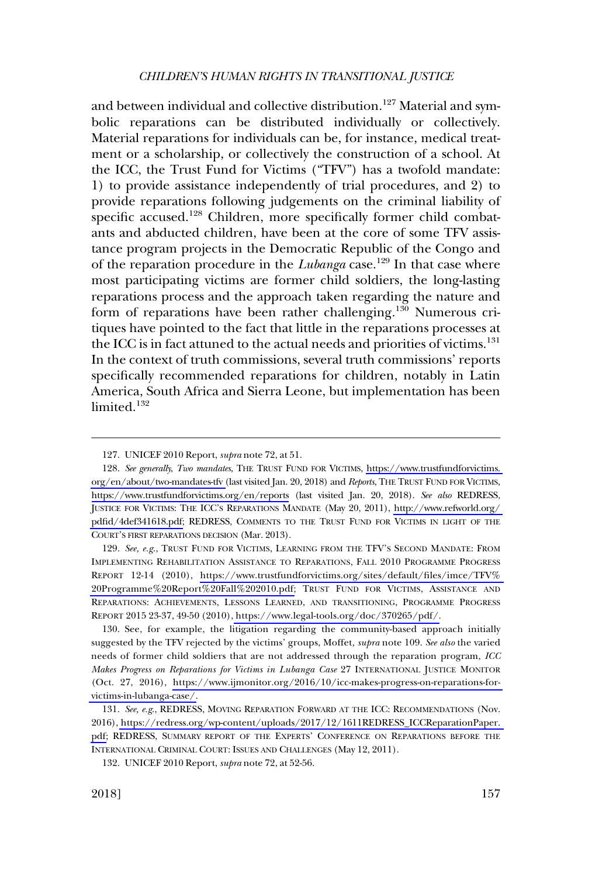and between individual and collective distribution.<sup>127</sup> Material and symbolic reparations can be distributed individually or collectively. Material reparations for individuals can be, for instance, medical treatment or a scholarship, or collectively the construction of a school. At the ICC, the Trust Fund for Victims ("TFV") has a twofold mandate: 1) to provide assistance independently of trial procedures, and 2) to provide reparations following judgements on the criminal liability of specific accused.<sup>128</sup> Children, more specifically former child combatants and abducted children, have been at the core of some TFV assistance program projects in the Democratic Republic of the Congo and of the reparation procedure in the *Lubanga* case.<sup>129</sup> In that case where most participating victims are former child soldiers, the long-lasting reparations process and the approach taken regarding the nature and form of reparations have been rather challenging.<sup>130</sup> Numerous critiques have pointed to the fact that little in the reparations processes at the ICC is in fact attuned to the actual needs and priorities of victims.<sup>131</sup> In the context of truth commissions, several truth commissions' reports specifically recommended reparations for children, notably in Latin America, South Africa and Sierra Leone, but implementation has been limited $132$ 

129. See, e.g., TRUST FUND FOR VICTIMS, LEARNING FROM THE TFV'S SECOND MANDATE: FROM IMPLEMENTING REHABILITATION ASSISTANCE TO REPARATIONS, FALL 2010 PROGRAMME PROGRESS REPORT 12-14 (2010), [https://www.trustfundforvictims.org/sites/default/files/imce/TFV%](https://www.trustfundforvictims.org/sites/default/files/imce/TFV%20Programme%20Report%20Fall%202010.pdf)  [20Programme%20Report%20Fall%202010.pdf;](https://www.trustfundforvictims.org/sites/default/files/imce/TFV%20Programme%20Report%20Fall%202010.pdf) TRUST FUND FOR VICTIMS, ASSISTANCE AND REPARATIONS: ACHIEVEMENTS, LESSONS LEARNED, AND TRANSITIONING, PROGRAMME PROGRESS REPORT 2015 23-37, 49-50 (2010), [https://www.legal-tools.org/doc/370265/pdf/.](https://www.legal-tools.org/doc/370265/pdf/)

130. See, for example, the litigation regarding the community-based approach initially suggested by the TFV rejected by the victims' groups, Moffet, *supra* note 109. *See also* the varied needs of former child soldiers that are not addressed through the reparation program, *ICC Makes Progress on Reparations for Victims in Lubanga Case* 27 INTERNATIONAL JUSTICE MONITOR (Oct. 27, 2016), [https://www.ijmonitor.org/2016/10/icc-makes-progress-on-reparations-for](https://www.ijmonitor.org/2016/10/icc-makes-progress-on-reparations-for-victims-in-lubanga-case/)[victims-in-lubanga-case/.](https://www.ijmonitor.org/2016/10/icc-makes-progress-on-reparations-for-victims-in-lubanga-case/)

<sup>127.</sup> UNICEF 2010 Report, *supra* note 72, at 51.

<sup>128.</sup> See generally, Two mandates, THE TRUST FUND FOR VICTIMS, https://www.trustfundforvictims. [org/en/about/two-mandates-tfv \(](https://www.trustfundforvictims.org/en/about/two-mandates-tfv)last visited Jan. 20, 2018) and *Reports*, THE TRUST FUND FOR VICTIMS, <https://www.trustfundforvictims.org/en/reports> (last visited Jan. 20, 2018). *See also* REDRESS, JUSTICE FOR VICTIMS: THE ICC'S REPARATIONS MANDATE (May 20, 2011), [http://www.refworld.org/](http://www.refworld.org/pdfid/4def341618.pdf)  [pdfid/4def341618.pdf;](http://www.refworld.org/pdfid/4def341618.pdf) REDRESS, COMMENTS TO THE TRUST FUND FOR VICTIMS IN LIGHT OF THE COURT'S FIRST REPARATIONS DECISION (Mar. 2013).

<sup>131.</sup> See, e.g., REDRESS, MOVING REPARATION FORWARD AT THE ICC: RECOMMENDATIONS (Nov. 2016), [https://redress.org/wp-content/uploads/2017/12/1611REDRESS\\_ICCReparationPaper.](https://redress.org/wp-content/uploads/2017/12/1611REDRESS_ICCReparationPaper.pdf)  [pdf;](https://redress.org/wp-content/uploads/2017/12/1611REDRESS_ICCReparationPaper.pdf) REDRESS, SUMMARY REPORT OF THE EXPERTS' CONFERENCE ON REPARATIONS BEFORE THE INTERNATIONAL CRIMINAL COURT: ISSUES AND CHALLENGES (May 12, 2011).

<sup>132.</sup> UNICEF 2010 Report, *supra* note 72, at 52-56.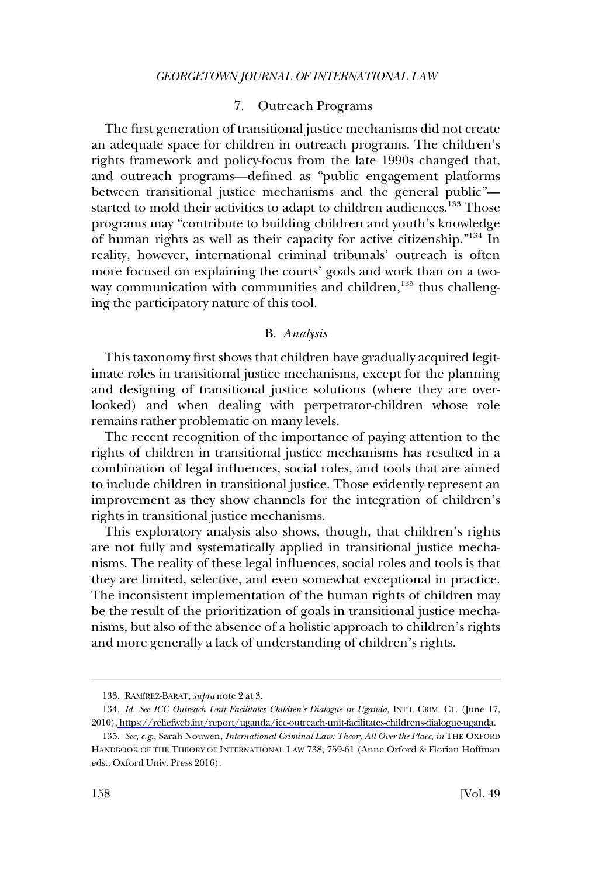### 7. Outreach Programs

<span id="page-23-0"></span>The first generation of transitional justice mechanisms did not create an adequate space for children in outreach programs. The children's rights framework and policy-focus from the late 1990s changed that, and outreach programs—defined as "public engagement platforms between transitional justice mechanisms and the general public" started to mold their activities to adapt to children audiences.<sup>133</sup> Those programs may "contribute to building children and youth's knowledge of human rights as well as their capacity for active citizenship."<sup>134</sup> In reality, however, international criminal tribunals' outreach is often more focused on explaining the courts' goals and work than on a twoway communication with communities and children,<sup>135</sup> thus challenging the participatory nature of this tool.

## B. *Analysis*

This taxonomy first shows that children have gradually acquired legitimate roles in transitional justice mechanisms, except for the planning and designing of transitional justice solutions (where they are overlooked) and when dealing with perpetrator-children whose role remains rather problematic on many levels.

The recent recognition of the importance of paying attention to the rights of children in transitional justice mechanisms has resulted in a combination of legal influences, social roles, and tools that are aimed to include children in transitional justice. Those evidently represent an improvement as they show channels for the integration of children's rights in transitional justice mechanisms.

This exploratory analysis also shows, though, that children's rights are not fully and systematically applied in transitional justice mechanisms. The reality of these legal influences, social roles and tools is that they are limited, selective, and even somewhat exceptional in practice. The inconsistent implementation of the human rights of children may be the result of the prioritization of goals in transitional justice mechanisms, but also of the absence of a holistic approach to children's rights and more generally a lack of understanding of children's rights.

<sup>133.</sup> RAMI´REZ-BARAT, *supra* note 2 at 3.

*Id. See ICC Outreach Unit Facilitates Children's Dialogue in Uganda*, INT'L CRIM. CT. (June 17, 134. 2010)[, https://reliefweb.int/report/uganda/icc-outreach-unit-facilitates-childrens-dialogue-uganda](https://reliefweb.int/report/uganda/icc-outreach-unit-facilitates-childrens-dialogue-uganda).

<sup>135.</sup> *See, e.g*., Sarah Nouwen, *International Criminal Law: Theory All Over the Place*, *in* THE OXFORD HANDBOOK OF THE THEORY OF INTERNATIONAL LAW 738, 759-61 (Anne Orford & Florian Hoffman eds., Oxford Univ. Press 2016).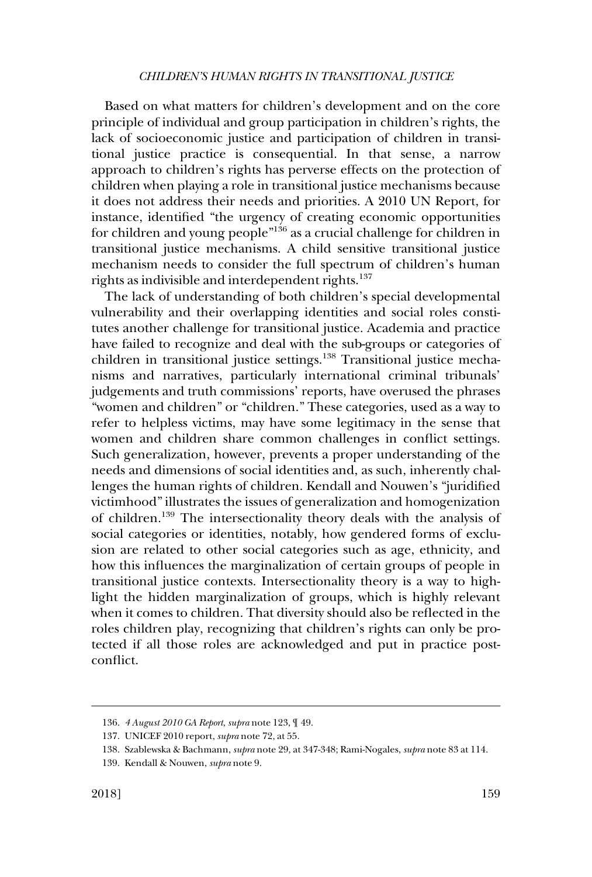Based on what matters for children's development and on the core principle of individual and group participation in children's rights, the lack of socioeconomic justice and participation of children in transitional justice practice is consequential. In that sense, a narrow approach to children's rights has perverse effects on the protection of children when playing a role in transitional justice mechanisms because it does not address their needs and priorities. A 2010 UN Report, for instance, identified "the urgency of creating economic opportunities for children and young people"136 as a crucial challenge for children in transitional justice mechanisms. A child sensitive transitional justice mechanism needs to consider the full spectrum of children's human rights as indivisible and interdependent rights.<sup>137</sup>

The lack of understanding of both children's special developmental vulnerability and their overlapping identities and social roles constitutes another challenge for transitional justice. Academia and practice have failed to recognize and deal with the sub-groups or categories of children in transitional justice settings.<sup>138</sup> Transitional justice mechanisms and narratives, particularly international criminal tribunals' judgements and truth commissions' reports, have overused the phrases "women and children" or "children." These categories, used as a way to refer to helpless victims, may have some legitimacy in the sense that women and children share common challenges in conflict settings. Such generalization, however, prevents a proper understanding of the needs and dimensions of social identities and, as such, inherently challenges the human rights of children. Kendall and Nouwen's "juridified victimhood" illustrates the issues of generalization and homogenization of children.139 The intersectionality theory deals with the analysis of social categories or identities, notably, how gendered forms of exclusion are related to other social categories such as age, ethnicity, and how this influences the marginalization of certain groups of people in transitional justice contexts. Intersectionality theory is a way to highlight the hidden marginalization of groups, which is highly relevant when it comes to children. That diversity should also be reflected in the roles children play, recognizing that children's rights can only be protected if all those roles are acknowledged and put in practice postconflict.

<sup>136.</sup> *4 August 2010 GA Report*, *supra* note 123, ¶ 49.

<sup>137.</sup> UNICEF 2010 report, *supra* note 72, at 55.

<sup>138.</sup> Szablewska & Bachmann, *supra* note 29, at 347-348; Rami-Nogales, *supra* note 83 at 114.

<sup>139.</sup> Kendall & Nouwen, *supra* note 9.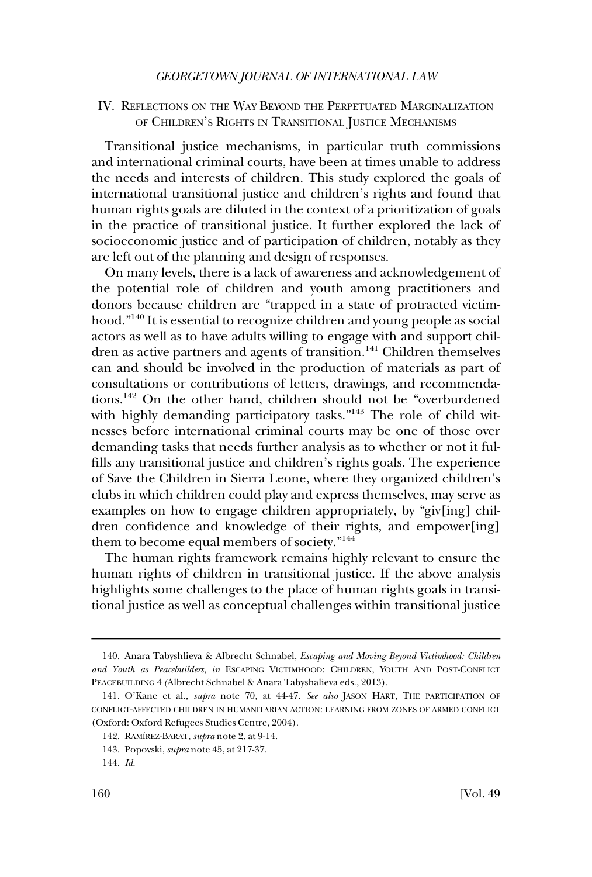### <span id="page-25-0"></span>IV. REFLECTIONS ON THE WAY BEYOND THE PERPETUATED MARGINALIZATION OF CHILDREN'S RIGHTS IN TRANSITIONAL JUSTICE MECHANISMS

Transitional justice mechanisms, in particular truth commissions and international criminal courts, have been at times unable to address the needs and interests of children. This study explored the goals of international transitional justice and children's rights and found that human rights goals are diluted in the context of a prioritization of goals in the practice of transitional justice. It further explored the lack of socioeconomic justice and of participation of children, notably as they are left out of the planning and design of responses.

On many levels, there is a lack of awareness and acknowledgement of the potential role of children and youth among practitioners and donors because children are "trapped in a state of protracted victimhood."140 It is essential to recognize children and young people as social actors as well as to have adults willing to engage with and support children as active partners and agents of transition.<sup>141</sup> Children themselves can and should be involved in the production of materials as part of consultations or contributions of letters, drawings, and recommendations.142 On the other hand, children should not be "overburdened with highly demanding participatory tasks."<sup>143</sup> The role of child witnesses before international criminal courts may be one of those over demanding tasks that needs further analysis as to whether or not it fulfills any transitional justice and children's rights goals. The experience of Save the Children in Sierra Leone, where they organized children's clubs in which children could play and express themselves, may serve as examples on how to engage children appropriately, by "giv[ing] children confidence and knowledge of their rights, and empower[ing] them to become equal members of society."<sup>144</sup>

The human rights framework remains highly relevant to ensure the human rights of children in transitional justice. If the above analysis highlights some challenges to the place of human rights goals in transitional justice as well as conceptual challenges within transitional justice

<sup>140.</sup> Anara Tabyshlieva & Albrecht Schnabel, *Escaping and Moving Beyond Victimhood: Children and Youth as Peacebuilders*, *in* ESCAPING VICTIMHOOD: CHILDREN, YOUTH AND POST-CONFLICT PEACEBUILDING 4 *(*Albrecht Schnabel & Anara Tabyshalieva eds., 2013).

<sup>141.</sup> O'Kane et al., *supra* note 70, at 44-47. *See also* JASON HART, THE PARTICIPATION OF CONFLICT-AFFECTED CHILDREN IN HUMANITARIAN ACTION: LEARNING FROM ZONES OF ARMED CONFLICT (Oxford: Oxford Refugees Studies Centre, 2004).

<sup>142.</sup> RAMI´REZ-BARAT, *supra* note 2, at 9-14.

<sup>143.</sup> Popovski, *supra* note 45, at 217-37.

<sup>144.</sup> *Id*.